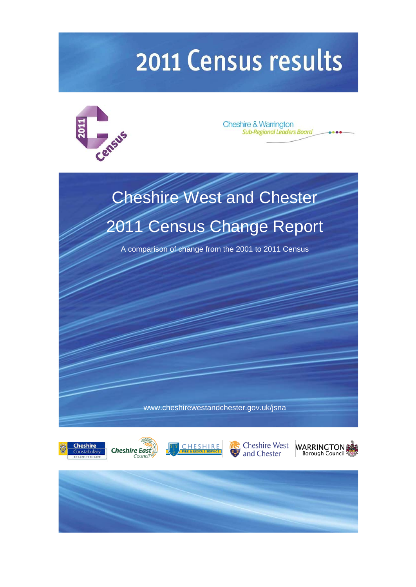# 2011 Census results



**Cheshire & Warrington Sub-Regional Leaders Board** 

# Cheshire West and Chester [2011 Census Change Report](http://www.cheshirewestandchester.gov.uk/jsna)

A comparison of change from the 2001 to 2011 Census

www.cheshirewestandchester.gov.uk/jsna







<span id="page-0-0"></span>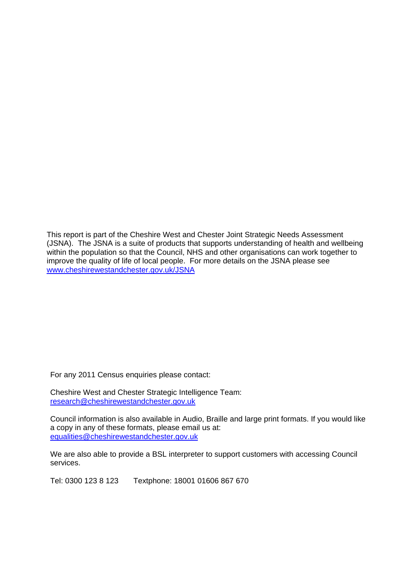This report is part of the Cheshire West and Chester Joint Strategic Needs Assessment (JSNA). The JSNA is a suite of products that supports understanding of health and wellbeing within the population so that the Council, NHS and other organisations can work together to improve the quality of life of local people. For more details on the JSNA please see [www.cheshirewestandchester.gov.uk/JSNA](http://www.cheshirewestandchester.gov.uk/JSNA)

For any 2011 Census enquiries please contact:

Cheshire West and Chester Strategic Intelligence Team: [research@cheshirewestandchester.gov.uk](mailto:research@cheshirewestandchester.gov.uk)

Council information is also available in Audio, Braille and large print formats. If you would like a copy in any of these formats, please email us at: [equalities@cheshirewestandchester.gov.uk](mailto:equalities@cheshirewestandchester.gov.uk)

We are also able to provide a BSL interpreter to support customers with accessing Council services.

Tel: 0300 123 8 123 Textphone: 18001 01606 867 670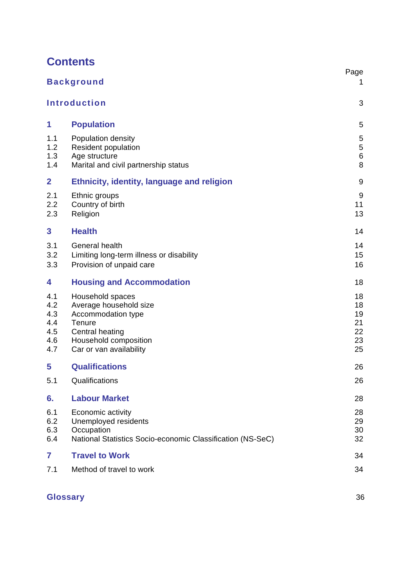|                                               | <b>Background</b>                                                                                                                                 | Page<br>1                              |
|-----------------------------------------------|---------------------------------------------------------------------------------------------------------------------------------------------------|----------------------------------------|
|                                               | <b>Introduction</b>                                                                                                                               | 3                                      |
| 1                                             | <b>Population</b>                                                                                                                                 | 5                                      |
| 1.1<br>1.2<br>1.3<br>1.4                      | Population density<br><b>Resident population</b><br>Age structure<br>Marital and civil partnership status                                         | 5<br>$\mathbf 5$<br>$\,6$<br>8         |
| $\overline{2}$                                | <b>Ethnicity, identity, language and religion</b>                                                                                                 | 9                                      |
| 2.1<br>2.2<br>2.3                             | Ethnic groups<br>Country of birth<br>Religion                                                                                                     | 9<br>11<br>13                          |
| 3                                             | <b>Health</b>                                                                                                                                     | 14                                     |
| 3.1<br>3.2<br>3.3                             | General health<br>Limiting long-term illness or disability<br>Provision of unpaid care                                                            | 14<br>15<br>16                         |
| 4                                             | <b>Housing and Accommodation</b>                                                                                                                  | 18                                     |
| 4.1<br>4.2<br>4.3<br>4.4<br>4.5<br>4.6<br>4.7 | Household spaces<br>Average household size<br>Accommodation type<br>Tenure<br>Central heating<br>Household composition<br>Car or van availability | 18<br>18<br>19<br>21<br>22<br>23<br>25 |
| 5                                             | <b>Qualifications</b>                                                                                                                             | 26                                     |
| 5.1                                           | Qualifications                                                                                                                                    | 26                                     |
| 6.                                            | <b>Labour Market</b>                                                                                                                              | 28                                     |
| 6.1<br>6.2<br>6.3<br>6.4                      | Economic activity<br>Unemployed residents<br>Occupation<br>National Statistics Socio-economic Classification (NS-SeC)                             | 28<br>29<br>30<br>32                   |
| 7                                             | <b>Travel to Work</b>                                                                                                                             | 34                                     |
| 7.1                                           | Method of travel to work                                                                                                                          | 34                                     |

# **Glossary** 36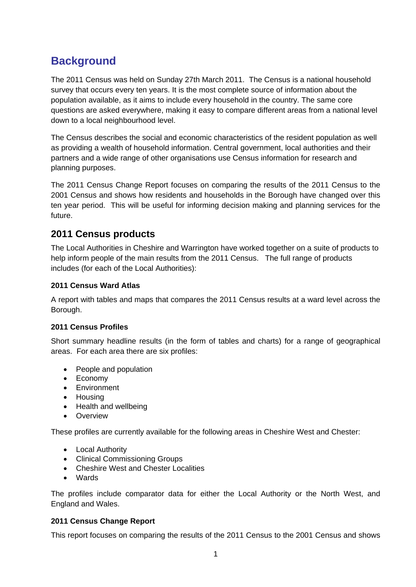# **Background**

The 2011 Census was held on Sunday 27th March 2011. The Census is a national household survey that occurs every ten years. It is the most complete source of information about the population available, as it aims to include every household in the country. The same core questions are asked everywhere, making it easy to compare different areas from a national level down to a local neighbourhood level.

The Census describes the social and economic characteristics of the resident population as well as providing a wealth of household information. Central government, local authorities and their partners and a wide range of other organisations use Census information for research and planning purposes.

The 2011 Census Change Report focuses on comparing the results of the 2011 Census to the 2001 Census and shows how residents and households in the Borough have changed over this ten year period. This will be useful for informing decision making and planning services for the future.

# **2011 Census products**

The Local Authorities in Cheshire and Warrington have worked together on a suite of products to help inform people of the main results from the 2011 Census. The full range of products includes (for each of the Local Authorities):

# **2011 Census Ward Atlas**

A report with tables and maps that compares the 2011 Census results at a ward level across the Borough.

#### **2011 Census Profiles**

Short summary headline results (in the form of tables and charts) for a range of geographical areas. For each area there are six profiles:

- People and population
- Economy
- Environment
- Housing
- Health and wellbeing
- Overview

These profiles are currently available for the following areas in Cheshire West and Chester:

- Local Authority
- Clinical Commissioning Groups
- Cheshire West and Chester Localities
- Wards

The profiles include comparator data for either the Local Authority or the North West, and England and Wales.

# **2011 Census Change Report**

This report focuses on comparing the results of the 2011 Census to the 2001 Census and shows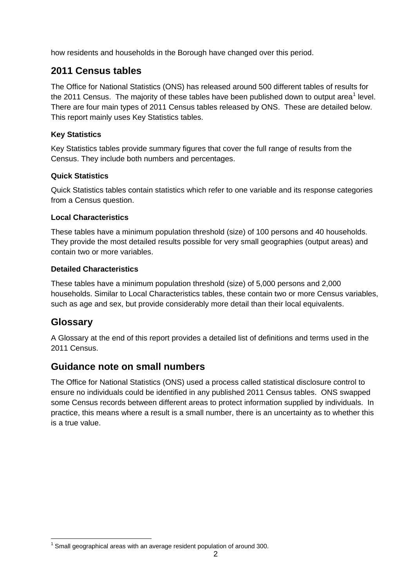how residents and households in the Borough have changed over this period.

# **2011 Census tables**

The Office for National Statistics (ONS) has released around 500 different tables of results for the 20[1](#page-0-0)1 Census. The majority of these tables have been published down to output area<sup>1</sup> level. There are four main types of 2011 Census tables released by ONS. These are detailed below. This report mainly uses Key Statistics tables.

## **Key Statistics**

Key Statistics tables provide summary figures that cover the full range of results from the Census. They include both numbers and percentages.

## **Quick Statistics**

Quick Statistics tables contain statistics which refer to one variable and its response categories from a Census question.

## **Local Characteristics**

These tables have a minimum population threshold (size) of 100 persons and 40 households. They provide the most detailed results possible for very small geographies (output areas) and contain two or more variables.

## **Detailed Characteristics**

These tables have a minimum population threshold (size) of 5,000 persons and 2,000 households. Similar to Local Characteristics tables, these contain two or more Census variables, such as age and sex, but provide considerably more detail than their local equivalents.

# **Glossary**

A Glossary at the end of this report provides a detailed list of definitions and terms used in the 2011 Census.

# **Guidance note on small numbers**

The Office for National Statistics (ONS) used a process called statistical disclosure control to ensure no individuals could be identified in any published 2011 Census tables. ONS swapped some Census records between different areas to protect information supplied by individuals. In practice, this means where a result is a small number, there is an uncertainty as to whether this is a true value.

<span id="page-4-0"></span> $1$  Small geographical areas with an average resident population of around 300.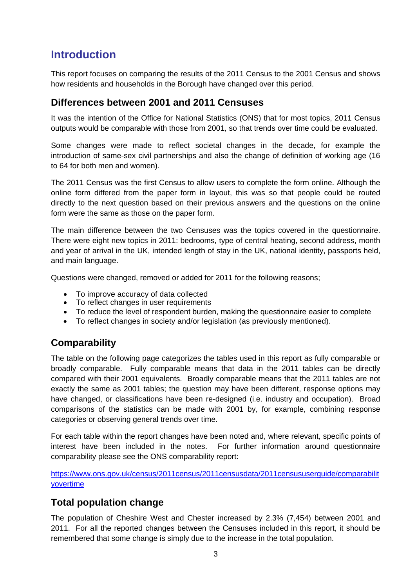# **Introduction**

This report focuses on comparing the results of the 2011 Census to the 2001 Census and shows how residents and households in the Borough have changed over this period.

# **Differences between 2001 and 2011 Censuses**

It was the intention of the Office for National Statistics (ONS) that for most topics, 2011 Census outputs would be comparable with those from 2001, so that trends over time could be evaluated.

Some changes were made to reflect societal changes in the decade, for example the introduction of same-sex civil partnerships and also the change of definition of working age (16 to 64 for both men and women).

The 2011 Census was the first Census to allow users to complete the form online. Although the online form differed from the paper form in layout, this was so that people could be routed directly to the next question based on their previous answers and the questions on the online form were the same as those on the paper form.

The main difference between the two Censuses was the topics covered in the questionnaire. There were eight new topics in 2011: bedrooms, type of central heating, second address, month and year of arrival in the UK, intended length of stay in the UK, national identity, passports held, and main language.

Questions were changed, removed or added for 2011 for the following reasons;

- To improve accuracy of data collected
- To reflect changes in user requirements
- To reduce the level of respondent burden, making the questionnaire easier to complete
- To reflect changes in society and/or legislation (as previously mentioned).

# **Comparability**

The table on the following page categorizes the tables used in this report as fully comparable or broadly comparable. Fully comparable means that data in the 2011 tables can be directly compared with their 2001 equivalents. Broadly comparable means that the 2011 tables are not exactly the same as 2001 tables; the question may have been different, response options may have changed, or classifications have been re-designed (i.e. industry and occupation). Broad comparisons of the statistics can be made with 2001 by, for example, combining response categories or observing general trends over time.

For each table within the report changes have been noted and, where relevant, specific points of interest have been included in the notes. For further information around questionnaire comparability please see the ONS comparability report:

[https://www.ons.gov.uk/census/2011census/2011censusdata/2011censususerguide/comparabilit](https://www.ons.gov.uk/census/2011census/2011censusdata/2011censususerguide/comparabilityovertime) [yovertime](https://www.ons.gov.uk/census/2011census/2011censusdata/2011censususerguide/comparabilityovertime)

# **Total population change**

The population of Cheshire West and Chester increased by 2.3% (7,454) between 2001 and 2011. For all the reported changes between the Censuses included in this report, it should be remembered that some change is simply due to the increase in the total population.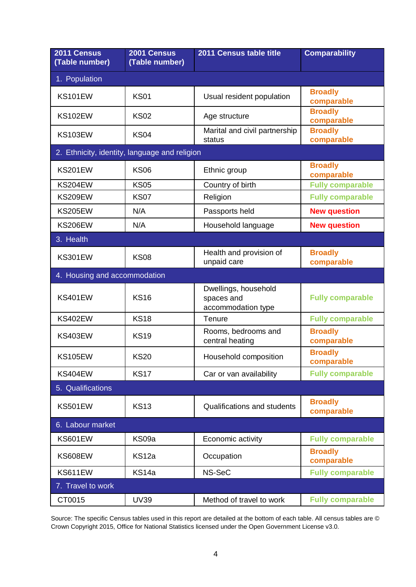| 2011 Census<br>(Table number)                 | 2001 Census<br>(Table number) | 2011 Census table title                                  | <b>Comparability</b>         |
|-----------------------------------------------|-------------------------------|----------------------------------------------------------|------------------------------|
| 1. Population                                 |                               |                                                          |                              |
| <b>KS101EW</b>                                | <b>KS01</b>                   | Usual resident population                                | <b>Broadly</b><br>comparable |
| <b>KS102EW</b>                                | <b>KS02</b>                   | Age structure                                            | <b>Broadly</b><br>comparable |
| <b>KS103EW</b>                                | <b>KS04</b>                   | Marital and civil partnership<br>status                  | <b>Broadly</b><br>comparable |
| 2. Ethnicity, identity, language and religion |                               |                                                          |                              |
| <b>KS201EW</b>                                | <b>KS06</b>                   | Ethnic group                                             | <b>Broadly</b><br>comparable |
| <b>KS204EW</b>                                | <b>KS05</b>                   | Country of birth                                         | <b>Fully comparable</b>      |
| <b>KS209EW</b>                                | <b>KS07</b>                   | Religion                                                 | <b>Fully comparable</b>      |
| <b>KS205EW</b>                                | N/A                           | Passports held                                           | <b>New question</b>          |
| <b>KS206EW</b>                                | N/A                           | Household language                                       | <b>New question</b>          |
| 3. Health                                     |                               |                                                          |                              |
| <b>KS301EW</b>                                | <b>KS08</b>                   | Health and provision of<br>unpaid care                   | <b>Broadly</b><br>comparable |
| 4. Housing and accommodation                  |                               |                                                          |                              |
| <b>KS401EW</b>                                | <b>KS16</b>                   | Dwellings, household<br>spaces and<br>accommodation type | <b>Fully comparable</b>      |
| <b>KS402EW</b>                                | <b>KS18</b>                   | Tenure                                                   | <b>Fully comparable</b>      |
| <b>KS403EW</b>                                | <b>KS19</b>                   | Rooms, bedrooms and<br>central heating                   | <b>Broadly</b><br>comparable |
| <b>KS105EW</b>                                | <b>KS20</b>                   | Household composition                                    | <b>Broadly</b><br>comparable |
| <b>KS404EW</b>                                | <b>KS17</b>                   | Car or van availability                                  | <b>Fully comparable</b>      |
| 5. Qualifications                             |                               |                                                          |                              |
| <b>KS501EW</b>                                | <b>KS13</b>                   | <b>Qualifications and students</b>                       | <b>Broadly</b><br>comparable |
| 6. Labour market                              |                               |                                                          |                              |
| <b>KS601EW</b>                                | KS09a                         | Economic activity                                        | <b>Fully comparable</b>      |
| <b>KS608EW</b>                                | KS <sub>12a</sub>             | Occupation                                               | <b>Broadly</b><br>comparable |
| KS611EW                                       | KS14a                         | NS-SeC                                                   | <b>Fully comparable</b>      |
| 7. Travel to work                             |                               |                                                          |                              |
| CT0015                                        | <b>UV39</b>                   | Method of travel to work                                 | <b>Fully comparable</b>      |

Source: The specific Census tables used in this report are detailed at the bottom of each table. All census tables are © Crown Copyright 2015, Office for National Statistics licensed under the Open Government License v3.0.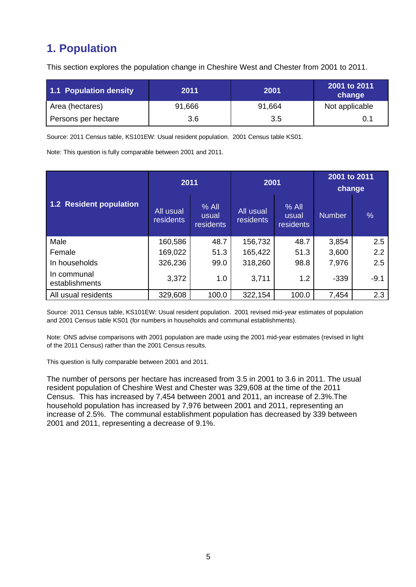# **1. Population**

This section explores the population change in Cheshire West and Chester from 2001 to 2011.

| 1.1 Population density | 2011   | 2001   | 2001 to 2011<br>change |
|------------------------|--------|--------|------------------------|
| Area (hectares)        | 91,666 | 91,664 | Not applicable         |
| Persons per hectare    | 3.6    | 3.5    | 0.1                    |

Source: 2011 Census table, KS101EW: Usual resident population. 2001 Census table KS01.

Note: This question is fully comparable between 2001 and 2011.

|                                | 2011                          |                               | 2001                   |                               | 2001 to 2011<br>change |               |
|--------------------------------|-------------------------------|-------------------------------|------------------------|-------------------------------|------------------------|---------------|
| <b>1.2 Resident population</b> | All usual<br><b>residents</b> | $%$ All<br>usual<br>residents | All usual<br>residents | $%$ All<br>usual<br>residents | <b>Number</b>          | $\frac{0}{0}$ |
| Male                           | 160,586                       | 48.7                          | 156,732                | 48.7                          | 3,854                  | 2.5           |
| Female                         | 169,022                       | 51.3                          | 165,422                | 51.3                          | 3,600                  | 2.2           |
| In households                  | 326,236                       | 99.0                          | 318,260                | 98.8                          | 7,976                  | 2.5           |
| In communal<br>establishments  | 3,372                         | 1.0                           | 3,711                  | 1.2                           | $-339$                 | $-9.1$        |
| All usual residents            | 329,608                       | 100.0                         | 322,154                | 100.0                         | 7,454                  | 2.3           |

Source: 2011 Census table, KS101EW: Usual resident population. 2001 revised mid-year estimates of population and 2001 Census table KS01 (for numbers in households and communal establishments).

Note: ONS advise comparisons with 2001 population are made using the 2001 mid-year estimates (revised in light of the 2011 Census) rather than the 2001 Census results.

This question is fully comparable between 2001 and 2011.

The number of persons per hectare has increased from 3.5 in 2001 to 3.6 in 2011. The usual resident population of Cheshire West and Chester was 329,608 at the time of the 2011 Census. This has increased by 7,454 between 2001 and 2011, an increase of 2.3%.The household population has increased by 7,976 between 2001 and 2011, representing an increase of 2.5%. The communal establishment population has decreased by 339 between 2001 and 2011, representing a decrease of 9.1%.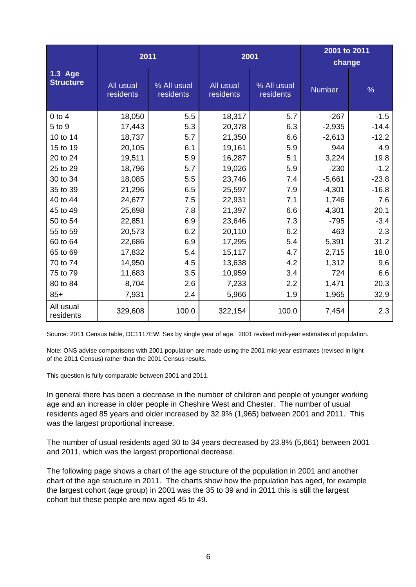|                             | 2011                   |                          | 2001                   |                          | 2001 to 2011<br>change |               |
|-----------------------------|------------------------|--------------------------|------------------------|--------------------------|------------------------|---------------|
| 1.3 Age<br><b>Structure</b> | All usual<br>residents | % All usual<br>residents | All usual<br>residents | % All usual<br>residents | <b>Number</b>          | $\frac{9}{6}$ |
| $0$ to $4$                  | 18,050                 | 5.5                      | 18,317                 | 5.7                      | $-267$                 | $-1.5$        |
| 5 to 9                      | 17,443                 | 5.3                      | 20,378                 | 6.3                      | $-2,935$               | $-14.4$       |
| 10 to 14                    | 18,737                 | 5.7                      | 21,350                 | 6.6                      | $-2,613$               | $-12.2$       |
| 15 to 19                    | 20,105                 | 6.1                      | 19,161                 | 5.9                      | 944                    | 4.9           |
| 20 to 24                    | 19,511                 | 5.9                      | 16,287                 | 5.1                      | 3,224                  | 19.8          |
| 25 to 29                    | 18,796                 | 5.7                      | 19,026                 | 5.9                      | $-230$                 | $-1.2$        |
| 30 to 34                    | 18,085                 | 5.5                      | 23,746                 | 7.4                      | $-5,661$               | $-23.8$       |
| 35 to 39                    | 21,296                 | 6.5                      | 25,597                 | 7.9                      | $-4,301$               | $-16.8$       |
| 40 to 44                    | 24,677                 | 7.5                      | 22,931                 | 7.1                      | 1,746                  | 7.6           |
| 45 to 49                    | 25,698                 | 7.8                      | 21,397                 | 6.6                      | 4,301                  | 20.1          |
| 50 to 54                    | 22,851                 | 6.9                      | 23,646                 | 7.3                      | $-795$                 | $-3.4$        |
| 55 to 59                    | 20,573                 | 6.2                      | 20,110                 | 6.2                      | 463                    | 2.3           |
| 60 to 64                    | 22,686                 | 6.9                      | 17,295                 | 5.4                      | 5,391                  | 31.2          |
| 65 to 69                    | 17,832                 | 5.4                      | 15,117                 | 4.7                      | 2,715                  | 18.0          |
| 70 to 74                    | 14,950                 | 4.5                      | 13,638                 | 4.2                      | 1,312                  | 9.6           |
| 75 to 79                    | 11,683                 | 3.5                      | 10,959                 | 3.4                      | 724                    | 6.6           |
| 80 to 84                    | 8,704                  | 2.6                      | 7,233                  | 2.2                      | 1,471                  | 20.3          |
| $85+$                       | 7,931                  | 2.4                      | 5,966                  | 1.9                      | 1,965                  | 32.9          |
| All usual<br>residents      | 329,608                | 100.0                    | 322,154                | 100.0                    | 7,454                  | 2.3           |

Source: 2011 Census table, DC1117EW: Sex by single year of age. 2001 revised mid-year estimates of population.

Note: ONS advise comparisons with 2001 population are made using the 2001 mid-year estimates (revised in light of the 2011 Census) rather than the 2001 Census results.

This question is fully comparable between 2001 and 2011.

In general there has been a decrease in the number of children and people of younger working age and an increase in older people in Cheshire West and Chester. The number of usual residents aged 85 years and older increased by 32.9% (1,965) between 2001 and 2011. This was the largest proportional increase.

The number of usual residents aged 30 to 34 years decreased by 23.8% (5,661) between 2001 and 2011, which was the largest proportional decrease.

The following page shows a chart of the age structure of the population in 2001 and another chart of the age structure in 2011. The charts show how the population has aged, for example the largest cohort (age group) in 2001 was the 35 to 39 and in 2011 this is still the largest cohort but these people are now aged 45 to 49.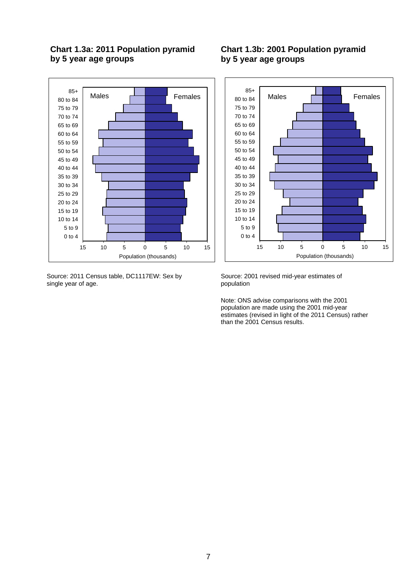# **Chart 1.3a: 2011 Population pyramid by 5 year age groups**



Source: 2011 Census table, DC1117EW: Sex by single year of age.

# **Chart 1.3b: 2001 Population pyramid by 5 year age groups**



Source: 2001 revised mid-year estimates of population

Note: ONS advise comparisons with the 2001 population are made using the 2001 mid-year estimates (revised in light of the 2011 Census) rather than the 2001 Census results.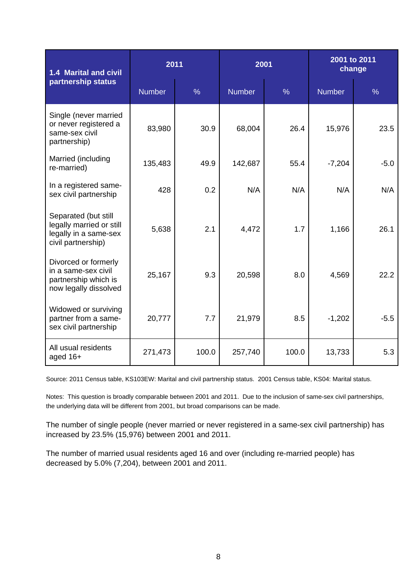| 1.4 Marital and civil                                                                           | 2011          |               | 2001          |               | 2001 to 2011<br>change |               |  |
|-------------------------------------------------------------------------------------------------|---------------|---------------|---------------|---------------|------------------------|---------------|--|
| partnership status                                                                              | <b>Number</b> | $\frac{9}{6}$ | <b>Number</b> | $\frac{9}{6}$ | <b>Number</b>          | $\frac{0}{0}$ |  |
| Single (never married<br>or never registered a<br>same-sex civil<br>partnership)                | 83,980        | 30.9          | 68,004        | 26.4          | 15,976                 | 23.5          |  |
| Married (including<br>re-married)                                                               | 135,483       | 49.9          | 142,687       | 55.4          | $-7,204$               | $-5.0$        |  |
| In a registered same-<br>sex civil partnership                                                  | 428           | 0.2           | N/A           | N/A           | N/A                    | N/A           |  |
| Separated (but still<br>legally married or still<br>legally in a same-sex<br>civil partnership) | 5,638         | 2.1           | 4,472         | 1.7           | 1,166                  | 26.1          |  |
| Divorced or formerly<br>in a same-sex civil<br>partnership which is<br>now legally dissolved    | 25,167        | 9.3           | 20,598        | 8.0           | 4,569                  | 22.2          |  |
| Widowed or surviving<br>partner from a same-<br>sex civil partnership                           | 20,777        | 7.7           | 21,979        | 8.5           | $-1,202$               | $-5.5$        |  |
| All usual residents<br>aged 16+                                                                 | 271,473       | 100.0         | 257,740       | 100.0         | 13,733                 | 5.3           |  |

Source: 2011 Census table, KS103EW: Marital and civil partnership status. 2001 Census table, KS04: Marital status.

Notes: This question is broadly comparable between 2001 and 2011. Due to the inclusion of same-sex civil partnerships, the underlying data will be different from 2001, but broad comparisons can be made.

The number of single people (never married or never registered in a same-sex civil partnership) has increased by 23.5% (15,976) between 2001 and 2011.

The number of married usual residents aged 16 and over (including re-married people) has decreased by 5.0% (7,204), between 2001 and 2011.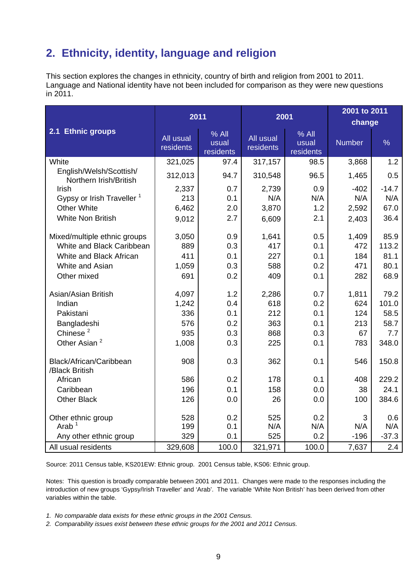# **2. Ethnicity, identity, language and religion**

This section explores the changes in ethnicity, country of birth and religion from 2001 to 2011. Language and National identity have not been included for comparison as they were new questions in 2011.

|                                                   |                        |                               |                        |                             | 2001 to 2011  |               |  |
|---------------------------------------------------|------------------------|-------------------------------|------------------------|-----------------------------|---------------|---------------|--|
|                                                   | 2011                   |                               | 2001                   |                             | change        |               |  |
| 2.1 Ethnic groups                                 | All usual<br>residents | $%$ All<br>usual<br>residents | All usual<br>residents | % All<br>usual<br>residents | <b>Number</b> | $\frac{9}{6}$ |  |
| White                                             | 321,025                | 97.4                          | 317,157                | 98.5                        | 3,868         | 1.2           |  |
| English/Welsh/Scottish/<br>Northern Irish/British | 312,013                | 94.7                          | 310,548                | 96.5                        | 1,465         | 0.5           |  |
| Irish                                             | 2,337                  | 0.7                           | 2,739                  | 0.9                         | $-402$        | $-14.7$       |  |
| Gypsy or Irish Traveller <sup>1</sup>             | 213                    | 0.1                           | N/A                    | N/A                         | N/A           | N/A           |  |
| <b>Other White</b>                                | 6,462                  | 2.0                           | 3,870                  | 1.2                         | 2,592         | 67.0          |  |
| <b>White Non British</b>                          | 9,012                  | 2.7                           | 6,609                  | 2.1                         | 2,403         | 36.4          |  |
| Mixed/multiple ethnic groups                      | 3,050                  | 0.9                           | 1,641                  | 0.5                         | 1,409         | 85.9          |  |
| White and Black Caribbean                         | 889                    | 0.3                           | 417                    | 0.1                         | 472           | 113.2         |  |
| White and Black African                           | 411                    | 0.1                           | 227                    | 0.1                         | 184           | 81.1          |  |
| White and Asian                                   | 1,059                  | 0.3                           | 588                    | 0.2                         | 471           | 80.1          |  |
| Other mixed                                       | 691                    | 0.2                           | 409                    | 0.1                         | 282           | 68.9          |  |
| Asian/Asian British                               | 4,097                  | 1.2                           | 2,286                  | 0.7                         | 1,811         | 79.2          |  |
| Indian                                            | 1,242                  | 0.4                           | 618                    | 0.2                         | 624           | 101.0         |  |
| Pakistani                                         | 336                    | 0.1                           | 212                    | 0.1                         | 124           | 58.5          |  |
| Bangladeshi                                       | 576                    | 0.2                           | 363                    | 0.1                         | 213           | 58.7          |  |
| Chinese <sup>2</sup>                              | 935                    | 0.3                           | 868                    | 0.3                         | 67            | 7.7           |  |
| Other Asian <sup>2</sup>                          | 1,008                  | 0.3                           | 225                    | 0.1                         | 783           | 348.0         |  |
| Black/African/Caribbean<br>/Black British         | 908                    | 0.3                           | 362                    | 0.1                         | 546           | 150.8         |  |
| African                                           | 586                    | 0.2                           | 178                    | 0.1                         | 408           | 229.2         |  |
| Caribbean                                         | 196                    | 0.1                           | 158                    | 0.0                         | 38            | 24.1          |  |
| <b>Other Black</b>                                | 126                    | 0.0                           | 26                     | 0.0                         | 100           | 384.6         |  |
| Other ethnic group<br>Arab $1$                    | 528<br>199             | 0.2<br>0.1                    | 525<br>N/A             | 0.2<br>N/A                  | 3<br>N/A      | 0.6<br>N/A    |  |
| Any other ethnic group                            | 329                    | 0.1                           | 525                    | 0.2                         | $-196$        | $-37.3$       |  |
| All usual residents                               | 329,608                | 100.0                         | 321,971                | 100.0                       | 7,637         | 2.4           |  |

Source: 2011 Census table, KS201EW: Ethnic group. 2001 Census table, KS06: Ethnic group.

Notes: This question is broadly comparable between 2001 and 2011. Changes were made to the responses including the introduction of new groups 'Gypsy/Irish Traveller' and 'Arab'. The variable 'White Non British' has been derived from other variables within the table.

- *1. No comparable data exists for these ethnic groups in the 2001 Census.*
- *2. Comparability issues exist between these ethnic groups for the 2001 and 2011 Census.*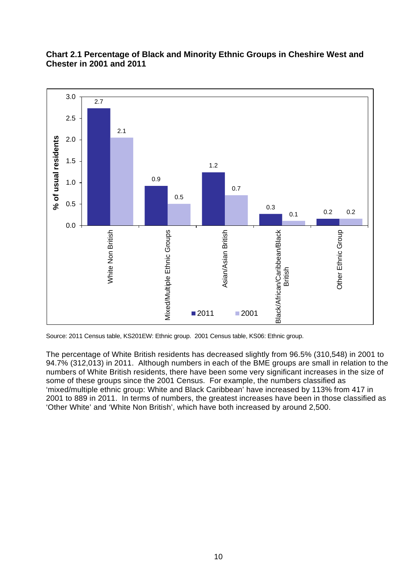

# **Chart 2.1 Percentage of Black and Minority Ethnic Groups in Cheshire West and Chester in 2001 and 2011**

The percentage of White British residents has decreased slightly from 96.5% (310,548) in 2001 to 94.7% (312,013) in 2011. Although numbers in each of the BME groups are small in relation to the numbers of White British residents, there have been some very significant increases in the size of some of these groups since the 2001 Census. For example, the numbers classified as 'mixed/multiple ethnic group: White and Black Caribbean' have increased by 113% from 417 in 2001 to 889 in 2011. In terms of numbers, the greatest increases have been in those classified as 'Other White' and 'White Non British', which have both increased by around 2,500.

Source: 2011 Census table, KS201EW: Ethnic group. 2001 Census table, KS06: Ethnic group.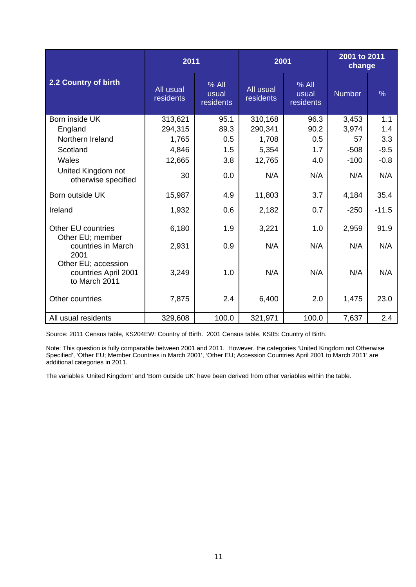|                                                              | 2011                   |                               | 2001                   |                               | 2001 to 2011<br>change |               |
|--------------------------------------------------------------|------------------------|-------------------------------|------------------------|-------------------------------|------------------------|---------------|
| 2.2 Country of birth                                         | All usual<br>residents | $%$ All<br>usual<br>residents | All usual<br>residents | $%$ All<br>usual<br>residents | <b>Number</b>          | $\frac{0}{0}$ |
| Born inside UK                                               | 313,621                | 95.1                          | 310,168                | 96.3                          | 3,453                  | 1.1           |
| England                                                      | 294,315                | 89.3                          | 290,341                | 90.2                          | 3,974                  | 1.4           |
| Northern Ireland                                             | 1,765                  | 0.5                           | 1,708                  | 0.5                           | 57                     | 3.3           |
| Scotland                                                     | 4,846                  | 1.5                           | 5,354                  | 1.7                           | $-508$                 | $-9.5$        |
| Wales                                                        | 12,665                 | 3.8                           | 12,765                 | 4.0                           | $-100$                 | $-0.8$        |
| United Kingdom not<br>otherwise specified                    | 30                     | 0.0                           | N/A                    | N/A                           | N/A                    | N/A           |
| Born outside UK                                              | 15,987                 | 4.9                           | 11,803                 | 3.7                           | 4,184                  | 35.4          |
| Ireland                                                      | 1,932                  | 0.6                           | 2,182                  | 0.7                           | $-250$                 | $-11.5$       |
| Other EU countries<br>Other EU; member                       | 6,180                  | 1.9                           | 3,221                  | 1.0                           | 2,959                  | 91.9          |
| countries in March<br>2001                                   | 2,931                  | 0.9                           | N/A                    | N/A                           | N/A                    | N/A           |
| Other EU; accession<br>countries April 2001<br>to March 2011 | 3,249                  | 1.0                           | N/A                    | N/A                           | N/A                    | N/A           |
| Other countries                                              | 7,875                  | 2.4                           | 6,400                  | 2.0                           | 1,475                  | 23.0          |
| All usual residents                                          | 329,608                | 100.0                         | 321,971                | 100.0                         | 7,637                  | 2.4           |

Source: 2011 Census table, KS204EW: Country of Birth. 2001 Census table, KS05: Country of Birth.

Note: This question is fully comparable between 2001 and 2011. However, the categories 'United Kingdom not Otherwise Specified', 'Other EU; Member Countries in March 2001', 'Other EU; Accession Countries April 2001 to March 2011' are additional categories in 2011.

The variables 'United Kingdom' and 'Born outside UK' have been derived from other variables within the table.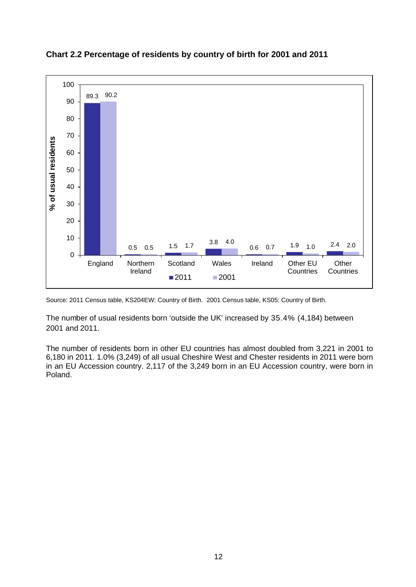

**Chart 2.2 Percentage of residents by country of birth for 2001 and 2011**

Source: 2011 Census table, KS204EW: Country of Birth. 2001 Census table, KS05: Country of Birth.

The number of usual residents born 'outside the UK' increased by 35.4% (4,184) between 2001 and 2011.

The number of residents born in other EU countries has almost doubled from 3,221 in 2001 to 6,180 in 2011. 1.0% (3,249) of all usual Cheshire West and Chester residents in 2011 were born in an EU Accession country. 2,117 of the 3,249 born in an EU Accession country, were born in Poland.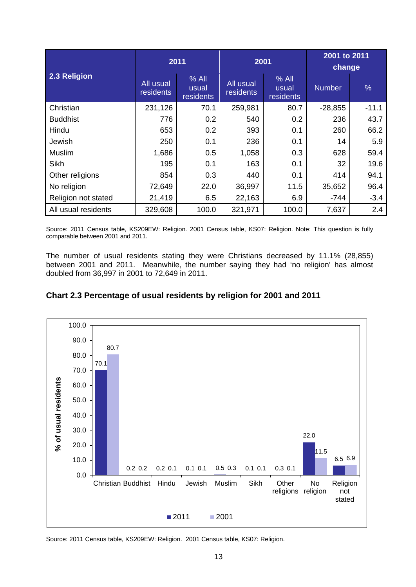|                     | 2011                   |                               | 2001                          |                               | 2001 to 2011<br>change |               |  |
|---------------------|------------------------|-------------------------------|-------------------------------|-------------------------------|------------------------|---------------|--|
| 2.3 Religion        | All usual<br>residents | $%$ All<br>usual<br>residents | All usual<br><b>residents</b> | $%$ All<br>usual<br>residents | <b>Number</b>          | $\frac{0}{6}$ |  |
| Christian           | 231,126                | 70.1                          | 259,981                       | 80.7                          | $-28,855$              | $-11.1$       |  |
| <b>Buddhist</b>     | 776                    | 0.2                           | 540                           | 0.2                           | 236                    | 43.7          |  |
| Hindu               | 653                    | 0.2                           | 393                           | 0.1                           | 260                    | 66.2          |  |
| Jewish              | 250                    | 0.1                           | 236                           | 0.1                           | 14                     | 5.9           |  |
| <b>Muslim</b>       | 1,686                  | 0.5                           | 1,058                         | 0.3                           | 628                    | 59.4          |  |
| <b>Sikh</b>         | 195                    | 0.1                           | 163                           | 0.1                           | 32                     | 19.6          |  |
| Other religions     | 854                    | 0.3                           | 440                           | 0.1                           | 414                    | 94.1          |  |
| No religion         | 72,649                 | 22.0                          | 36,997                        | 11.5                          | 35,652                 | 96.4          |  |
| Religion not stated | 21,419                 | 6.5                           | 22,163                        | 6.9                           | -744                   | $-3.4$        |  |
| All usual residents | 329,608                | 100.0                         | 321,971                       | 100.0                         | 7,637                  | 2.4           |  |

Source: 2011 Census table, KS209EW: Religion. 2001 Census table, KS07: Religion. Note: This question is fully comparable between 2001 and 2011.

The number of usual residents stating they were Christians decreased by 11.1% (28,855) between 2001 and 2011. Meanwhile, the number saying they had 'no religion' has almost doubled from 36,997 in 2001 to 72,649 in 2011.





Source: 2011 Census table, KS209EW: Religion. 2001 Census table, KS07: Religion.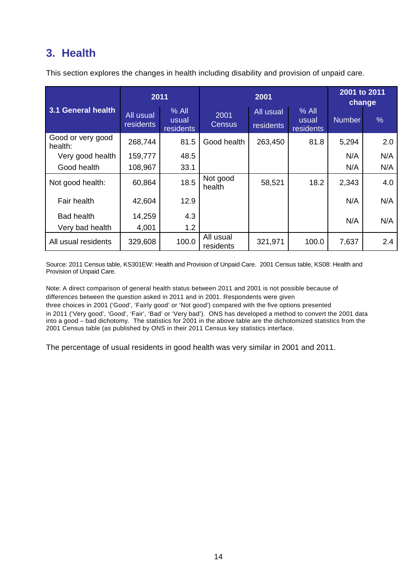# **3. Health**

|                              | 2011                   |                               |                        | 2001 to 2011<br>change |                               |               |      |
|------------------------------|------------------------|-------------------------------|------------------------|------------------------|-------------------------------|---------------|------|
| 3.1 General health           | All usual<br>residents | $%$ All<br>usual<br>residents | 2001<br><b>Census</b>  | All usual<br>residents | $%$ All<br>usual<br>residents | <b>Number</b> | $\%$ |
| Good or very good<br>health: | 268,744                | 81.5                          | Good health            | 263,450                | 81.8                          | 5,294         | 2.0  |
| Very good health             | 159,777                | 48.5                          |                        |                        |                               | N/A           | N/A  |
| Good health                  | 108,967                | 33.1                          |                        |                        |                               | N/A           | N/A  |
| Not good health:             | 60,864                 | 18.5                          | Not good<br>health     | 58,521                 | 18.2                          | 2,343         | 4.0  |
| Fair health                  | 42,604                 | 12.9                          |                        |                        |                               | N/A           | N/A  |
| <b>Bad health</b>            | 14,259                 | 4.3                           |                        |                        |                               | N/A           | N/A  |
| Very bad health              | 4,001                  | 1.2                           |                        |                        |                               |               |      |
| All usual residents          | 329,608                | 100.0                         | All usual<br>residents | 321,971                | 100.0                         | 7,637         | 2.4  |

This section explores the changes in health including disability and provision of unpaid care.

Source: 2011 Census table, KS301EW: Health and Provision of Unpaid Care. 2001 Census table, KS08: Health and Provision of Unpaid Care.

Note: A direct comparison of general health status between 2011 and 2001 is not possible because of differences between the question asked in 2011 and in 2001. Respondents were given three choices in 2001 ('Good', 'Fairly good' or 'Not good') compared with the five options presented in 2011 ('Very good', 'Good', 'Fair', 'Bad' or 'Very bad'). ONS has developed a method to convert the 2001 data into a good – bad dichotomy. The statistics for 2001 in the above table are the dichotomized statistics from the 2001 Census table (as published by ONS in their 2011 Census key statistics interface.

The percentage of usual residents in good health was very similar in 2001 and 2011.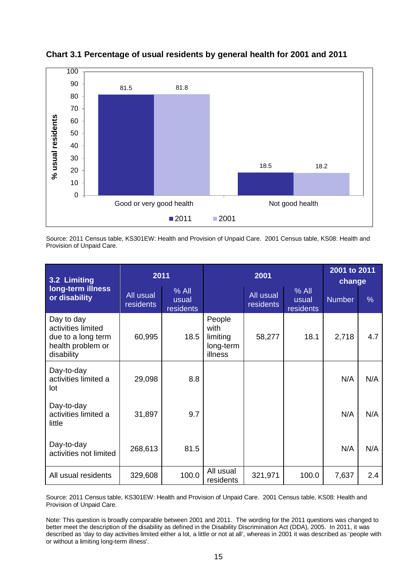

**Chart 3.1 Percentage of usual residents by general health for 2001 and 2011**

Source: 2011 Census table, KS301EW: Health and Provision of Unpaid Care. 2001 Census table, KS08: Health and Provision of Unpaid Care.

| 3.2 Limiting                                                                              | 2011                   |                               |                                                    | 2001 to 2011<br>change |                               |               |               |
|-------------------------------------------------------------------------------------------|------------------------|-------------------------------|----------------------------------------------------|------------------------|-------------------------------|---------------|---------------|
| long-term illness<br>or disability                                                        | All usual<br>residents | $%$ All<br>usual<br>residents |                                                    | All usual<br>residents | $%$ All<br>usual<br>residents | <b>Number</b> | $\frac{0}{6}$ |
| Day to day<br>activities limited<br>due to a long term<br>health problem or<br>disability | 60,995                 | 18.5                          | People<br>with<br>limiting<br>long-term<br>illness | 58,277                 | 18.1                          | 2,718         | 4.7           |
| Day-to-day<br>activities limited a<br>lot                                                 | 29,098                 | 8.8                           |                                                    |                        |                               | N/A           | N/A           |
| Day-to-day<br>activities limited a<br>little                                              | 31,897                 | 9.7                           |                                                    |                        |                               | N/A           | N/A           |
| Day-to-day<br>activities not limited                                                      | 268,613                | 81.5                          |                                                    |                        |                               | N/A           | N/A           |
| All usual residents                                                                       | 329,608                | 100.0                         | All usual<br>residents                             | 321,971                | 100.0                         | 7,637         | 2.4           |

Source: 2011 Census table, KS301EW: Health and Provision of Unpaid Care. 2001 Census table, KS08: Health and Provision of Unpaid Care.

Note: This question is broadly comparable between 2001 and 2011. The wording for the 2011 questions was changed to better meet the description of the disability as defined in the Disability Discrimination Act (DDA), 2005. In 2011, it was described as 'day to day activities limited either a lot, a little or not at all', whereas in 2001 it was described as 'people with or without a limiting long-term illness'.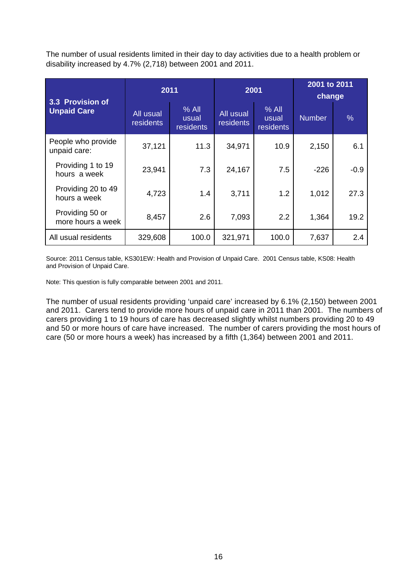The number of usual residents limited in their day to day activities due to a health problem or disability increased by 4.7% (2,718) between 2001 and 2011.

| 3.3 Provision of                     | 2011                   |                               | 2001                   |                               | 2001 to 2011<br>change |        |  |
|--------------------------------------|------------------------|-------------------------------|------------------------|-------------------------------|------------------------|--------|--|
| <b>Unpaid Care</b>                   | All usual<br>residents | $%$ All<br>usual<br>residents | All usual<br>residents | $%$ All<br>usual<br>residents | <b>Number</b>          | $\%$   |  |
| People who provide<br>unpaid care:   | 37,121                 | 11.3                          | 34,971                 | 10.9                          | 2,150                  | 6.1    |  |
| Providing 1 to 19<br>hours a week    | 23,941                 | 7.3                           | 24,167                 | 7.5                           | $-226$                 | $-0.9$ |  |
| Providing 20 to 49<br>hours a week   | 4,723                  | 1.4                           | 3,711                  | 1.2                           | 1,012                  | 27.3   |  |
| Providing 50 or<br>more hours a week | 8,457                  | 2.6                           | 7,093                  | 2.2                           | 1,364                  | 19.2   |  |
| All usual residents                  | 329,608                | 100.0                         | 321,971                | 100.0                         | 7,637                  | 2.4    |  |

Source: 2011 Census table, KS301EW: Health and Provision of Unpaid Care. 2001 Census table, KS08: Health and Provision of Unpaid Care.

Note: This question is fully comparable between 2001 and 2011.

The number of usual residents providing 'unpaid care' increased by 6.1% (2,150) between 2001 and 2011. Carers tend to provide more hours of unpaid care in 2011 than 2001. The numbers of carers providing 1 to 19 hours of care has decreased slightly whilst numbers providing 20 to 49 and 50 or more hours of care have increased. The number of carers providing the most hours of care (50 or more hours a week) has increased by a fifth (1,364) between 2001 and 2011.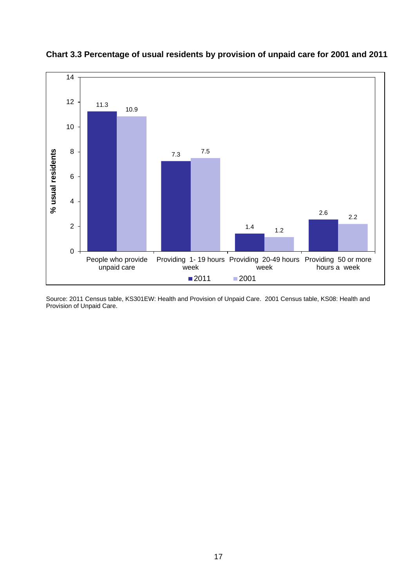

**Chart 3.3 Percentage of usual residents by provision of unpaid care for 2001 and 2011**

Source: 2011 Census table, KS301EW: Health and Provision of Unpaid Care. 2001 Census table, KS08: Health and Provision of Unpaid Care.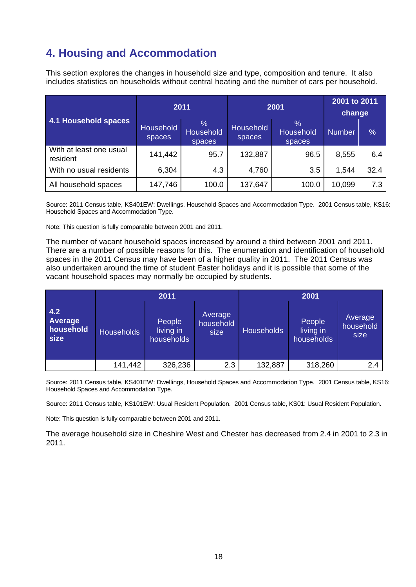# **4. Housing and Accommodation**

This section explores the changes in household size and type, composition and tenure. It also includes statistics on households without central heating and the number of cars per household.

| 4.1 Household spaces                |                            | 2011                                        |                            | 2001                        | 2001 to 2011<br>change |               |
|-------------------------------------|----------------------------|---------------------------------------------|----------------------------|-----------------------------|------------------------|---------------|
|                                     | <b>Household</b><br>spaces | $\frac{0}{0}$<br><b>Household</b><br>spaces | <b>Household</b><br>spaces | $\%$<br>Household<br>spaces | <b>Number</b>          | $\frac{0}{0}$ |
| With at least one usual<br>resident | 141,442                    | 95.7                                        | 132,887                    | 96.5                        | 8,555                  | 6.4           |
| With no usual residents             | 6,304                      | 4.3                                         | 4,760                      | 3.5                         | 1,544                  | 32.4          |
| All household spaces                | 147,746                    | 100.0                                       | 137,647                    | 100.0                       | 10,099                 | 7.3           |

Source: 2011 Census table, KS401EW: Dwellings, Household Spaces and Accommodation Type. 2001 Census table, KS16: Household Spaces and Accommodation Type.

Note: This question is fully comparable between 2001 and 2011.

The number of vacant household spaces increased by around a third between 2001 and 2011. There are a number of possible reasons for this. The enumeration and identification of household spaces in the 2011 Census may have been of a higher quality in 2011. The 2011 Census was also undertaken around the time of student Easter holidays and it is possible that some of the vacant household spaces may normally be occupied by students.

|                                     |                   | 2011                              |                              | 2001              |                                   |                              |  |
|-------------------------------------|-------------------|-----------------------------------|------------------------------|-------------------|-----------------------------------|------------------------------|--|
| 4.2<br>Average<br>household<br>size | <b>Households</b> | People<br>living in<br>households | Average<br>household<br>size | <b>Households</b> | People<br>living in<br>households | Average<br>household<br>size |  |
|                                     | 141,442           | 326,236                           | 2.3                          | 132,887           | 318,260                           | 2.4                          |  |

Source: 2011 Census table, KS401EW: Dwellings, Household Spaces and Accommodation Type. 2001 Census table, KS16: Household Spaces and Accommodation Type.

Source: 2011 Census table, KS101EW: Usual Resident Population. 2001 Census table, KS01: Usual Resident Population.

Note: This question is fully comparable between 2001 and 2011.

The average household size in Cheshire West and Chester has decreased from 2.4 in 2001 to 2.3 in 2011.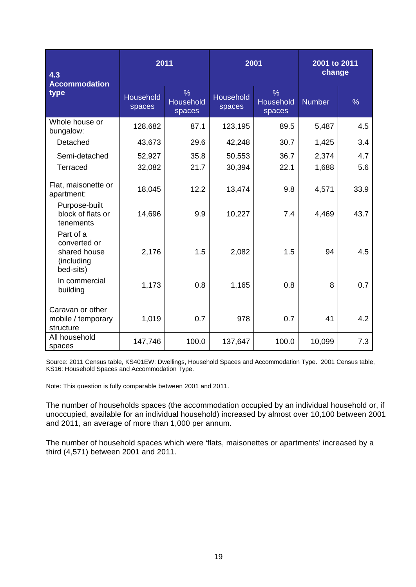| 4.3<br><b>Accommodation</b>                                          | 2011                       |                                      | 2001                       |                                             | 2001 to 2011<br>change |               |  |
|----------------------------------------------------------------------|----------------------------|--------------------------------------|----------------------------|---------------------------------------------|------------------------|---------------|--|
| type                                                                 | <b>Household</b><br>spaces | $\frac{0}{6}$<br>Household<br>spaces | <b>Household</b><br>spaces | $\frac{9}{6}$<br><b>Household</b><br>spaces | <b>Number</b>          | $\frac{0}{6}$ |  |
| Whole house or<br>bungalow:                                          | 128,682                    | 87.1                                 | 123,195                    | 89.5                                        | 5,487                  | 4.5           |  |
| Detached                                                             | 43,673                     | 29.6                                 | 42,248                     | 30.7                                        | 1,425                  | 3.4           |  |
| Semi-detached                                                        | 52,927                     | 35.8                                 | 50,553                     | 36.7                                        | 2,374                  | 4.7           |  |
| <b>Terraced</b>                                                      | 32,082                     | 21.7                                 | 30,394                     | 22.1                                        | 1,688                  | 5.6           |  |
| Flat, maisonette or<br>apartment:                                    | 18,045                     | 12.2                                 | 13,474                     | 9.8                                         | 4,571                  | 33.9          |  |
| Purpose-built<br>block of flats or<br>tenements                      | 14,696                     | 9.9                                  | 10,227                     | 7.4                                         | 4,469                  | 43.7          |  |
| Part of a<br>converted or<br>shared house<br>(including<br>bed-sits) | 2,176                      | 1.5                                  | 2,082                      | 1.5                                         | 94                     | 4.5           |  |
| In commercial<br>building                                            | 1,173                      | 0.8                                  | 1,165                      | 0.8                                         | 8                      | 0.7           |  |
| Caravan or other<br>mobile / temporary<br>structure                  | 1,019                      | 0.7                                  | 978                        | 0.7                                         | 41                     | 4.2           |  |
| All household<br>spaces                                              | 147,746                    | 100.0                                | 137,647                    | 100.0                                       | 10,099                 | 7.3           |  |

Source: 2011 Census table, KS401EW: Dwellings, Household Spaces and Accommodation Type. 2001 Census table, KS16: Household Spaces and Accommodation Type.

Note: This question is fully comparable between 2001 and 2011.

The number of households spaces (the accommodation occupied by an individual household or, if unoccupied, available for an individual household) increased by almost over 10,100 between 2001 and 2011, an average of more than 1,000 per annum.

The number of household spaces which were 'flats, maisonettes or apartments' increased by a third (4,571) between 2001 and 2011.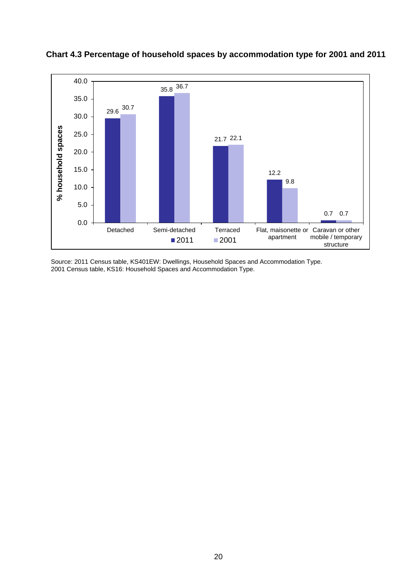

**Chart 4.3 Percentage of household spaces by accommodation type for 2001 and 2011**

Source: 2011 Census table, KS401EW: Dwellings, Household Spaces and Accommodation Type. 2001 Census table, KS16: Household Spaces and Accommodation Type.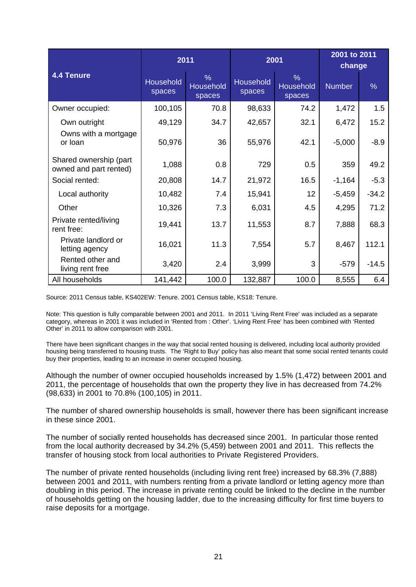|                                                  |                     | 2011                                        |                            | 2001                                 | 2001 to 2011<br>change |         |  |
|--------------------------------------------------|---------------------|---------------------------------------------|----------------------------|--------------------------------------|------------------------|---------|--|
| <b>4.4 Tenure</b>                                | Household<br>spaces | $\frac{9}{6}$<br><b>Household</b><br>spaces | <b>Household</b><br>spaces | $\frac{9}{6}$<br>Household<br>spaces | <b>Number</b>          | $\%$    |  |
| Owner occupied:                                  | 100,105             | 70.8                                        | 98,633                     | 74.2                                 | 1,472                  | 1.5     |  |
| Own outright                                     | 49,129              | 34.7                                        | 42,657                     | 32.1                                 | 6,472                  | 15.2    |  |
| Owns with a mortgage<br>or loan                  | 50,976              | 36                                          | 55,976                     | 42.1                                 | $-5,000$               | $-8.9$  |  |
| Shared ownership (part<br>owned and part rented) | 1,088               | 0.8                                         | 729                        | 0.5                                  | 359                    | 49.2    |  |
| Social rented:                                   | 20,808              | 14.7                                        | 21,972                     | 16.5                                 | $-1,164$               | $-5.3$  |  |
| Local authority                                  | 10,482              | 7.4                                         | 15,941                     | 12                                   | $-5,459$               | $-34.2$ |  |
| Other                                            | 10,326              | 7.3                                         | 6,031                      | 4.5                                  | 4,295                  | 71.2    |  |
| Private rented/living<br>rent free:              | 19,441              | 13.7                                        | 11,553                     | 8.7                                  | 7,888                  | 68.3    |  |
| Private landlord or<br>letting agency            | 16,021              | 11.3                                        | 7,554                      | 5.7                                  | 8,467                  | 112.1   |  |
| Rented other and<br>living rent free             | 3,420               | 2.4                                         | 3,999                      | 3                                    | $-579$                 | $-14.5$ |  |
| All households                                   | 141,442             | 100.0                                       | 132,887                    | 100.0                                | 8,555                  | 6.4     |  |

Source: 2011 Census table, KS402EW: Tenure. 2001 Census table, KS18: Tenure.

Note: This question is fully comparable between 2001 and 2011. In 2011 'Living Rent Free' was included as a separate category, whereas in 2001 it was included in 'Rented from : Other'. 'Living Rent Free' has been combined with 'Rented Other' in 2011 to allow comparison with 2001.

There have been significant changes in the way that social rented housing is delivered, including local authority provided housing being transferred to housing trusts. The 'Right to Buy' policy has also meant that some social rented tenants could buy their properties, leading to an increase in owner occupied housing.

Although the number of owner occupied households increased by 1.5% (1,472) between 2001 and 2011, the percentage of households that own the property they live in has decreased from 74.2% (98,633) in 2001 to 70.8% (100,105) in 2011.

The number of shared ownership households is small, however there has been significant increase in these since 2001.

The number of socially rented households has decreased since 2001. In particular those rented from the local authority decreased by 34.2% (5,459) between 2001 and 2011. This reflects the transfer of housing stock from local authorities to Private Registered Providers.

The number of private rented households (including living rent free) increased by 68.3% (7,888) between 2001 and 2011, with numbers renting from a private landlord or letting agency more than doubling in this period. The increase in private renting could be linked to the decline in the number of households getting on the housing ladder, due to the increasing difficulty for first time buyers to raise deposits for a mortgage.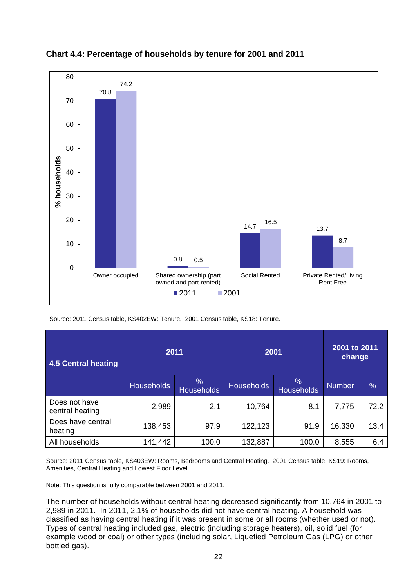

**Chart 4.4: Percentage of households by tenure for 2001 and 2011**

Source: 2011 Census table, KS402EW: Tenure. 2001 Census table, KS18: Tenure.

| 4.5 Central heating              | 2011              |                                 | 2001              | 2001 to 2011<br>change    |               |               |
|----------------------------------|-------------------|---------------------------------|-------------------|---------------------------|---------------|---------------|
|                                  | <b>Households</b> | $\sqrt{2}$<br><b>Households</b> | <b>Households</b> | $\%$<br><b>Households</b> | <b>Number</b> | $\frac{0}{0}$ |
| Does not have<br>central heating | 2,989             | 2.1                             | 10,764            | 8.1                       | $-7,775$      | $-72.2$       |
| Does have central<br>heating     | 138,453           | 97.9                            | 122,123           | 91.9                      | 16,330        | 13.4          |
| All households                   | 141,442           | 100.0                           | 132,887           | 100.0                     | 8,555         | 6.4           |

Source: 2011 Census table, KS403EW: Rooms, Bedrooms and Central Heating. 2001 Census table, KS19: Rooms, Amenities, Central Heating and Lowest Floor Level.

Note: This question is fully comparable between 2001 and 2011.

The number of households without central heating decreased significantly from 10,764 in 2001 to 2,989 in 2011. In 2011, 2.1% of households did not have central heating. A household was classified as having central heating if it was present in some or all rooms (whether used or not). Types of central heating included gas, electric (including storage heaters), oil, solid fuel (for example wood or coal) or other types (including solar, Liquefied Petroleum Gas (LPG) or other bottled gas).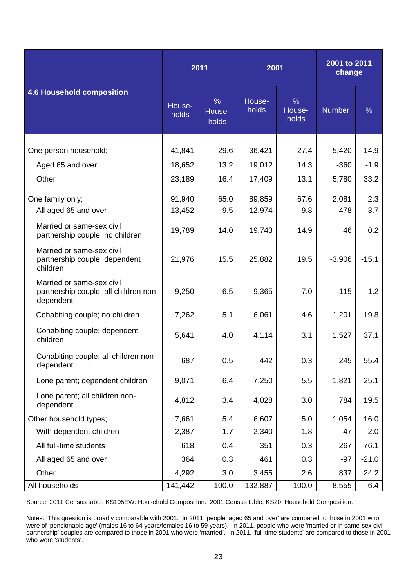|                                                                                 |                 | 2011                             |                 | 2001                             | 2001 to 2011<br>change |               |
|---------------------------------------------------------------------------------|-----------------|----------------------------------|-----------------|----------------------------------|------------------------|---------------|
| <b>4.6 Household composition</b>                                                | House-<br>holds | $\frac{9}{6}$<br>House-<br>holds | House-<br>holds | $\frac{9}{6}$<br>House-<br>holds | <b>Number</b>          | $\frac{9}{6}$ |
| One person household;                                                           | 41,841          | 29.6                             | 36,421          | 27.4                             | 5,420                  | 14.9          |
| Aged 65 and over                                                                | 18,652          | 13.2                             | 19,012          | 14.3                             | $-360$                 | $-1.9$        |
|                                                                                 |                 |                                  |                 |                                  |                        |               |
| Other                                                                           | 23,189          | 16.4                             | 17,409          | 13.1                             | 5,780                  | 33.2          |
| One family only;                                                                | 91,940          | 65.0                             | 89,859          | 67.6                             | 2,081                  | 2.3           |
| All aged 65 and over                                                            | 13,452          | 9.5                              | 12,974          | 9.8                              | 478                    | 3.7           |
| Married or same-sex civil<br>partnership couple; no children                    | 19,789          | 14.0                             | 19,743          | 14.9                             | 46                     | 0.2           |
| Married or same-sex civil<br>partnership couple; dependent<br>children          | 21,976          | 15.5                             | 25,882          | 19.5                             | $-3,906$               | $-15.1$       |
| Married or same-sex civil<br>partnership couple; all children non-<br>dependent | 9,250           | 6.5                              | 9,365           | 7.0                              | $-115$                 | $-1.2$        |
| Cohabiting couple; no children                                                  | 7,262           | 5.1                              | 6,061           | 4.6                              | 1,201                  | 19.8          |
| Cohabiting couple; dependent<br>children                                        | 5,641           | 4.0                              | 4,114           | 3.1                              | 1,527                  | 37.1          |
| Cohabiting couple; all children non-<br>dependent                               | 687             | 0.5                              | 442             | 0.3                              | 245                    | 55.4          |
| Lone parent; dependent children                                                 | 9,071           | 6.4                              | 7,250           | 5.5                              | 1,821                  | 25.1          |
| Lone parent; all children non-<br>dependent                                     | 4,812           | 3.4                              | 4,028           | 3.0                              | 784                    | 19.5          |
| Other household types;                                                          | 7,661           | 5.4                              | 6,607           | 5.0                              | 1,054                  | 16.0          |
| With dependent children                                                         | 2,387           | 1.7                              | 2,340           | 1.8                              | 47                     | 2.0           |
| All full-time students                                                          | 618             | 0.4                              | 351             | 0.3                              | 267                    | 76.1          |
| All aged 65 and over                                                            | 364             | 0.3                              | 461             | 0.3                              | $-97$                  | $-21.0$       |
| Other                                                                           | 4,292           | 3.0                              | 3,455           | 2.6                              | 837                    | 24.2          |
| All households                                                                  | 141,442         | 100.0                            | 132,887         | 100.0                            | 8,555                  | 6.4           |

Source: 2011 Census table, KS105EW: Household Composition. 2001 Census table, KS20: Household Composition.

Notes: This question is broadly comparable with 2001. In 2011, people 'aged 65 and over' are compared to those in 2001 who were of 'pensionable age' (males 16 to 64 years/females 16 to 59 years). In 2011, people who were 'married or in same-sex civil partnership' couples are compared to those in 2001 who were 'married'. In 2011, 'full-time students' are compared to those in 2001 who were 'students'.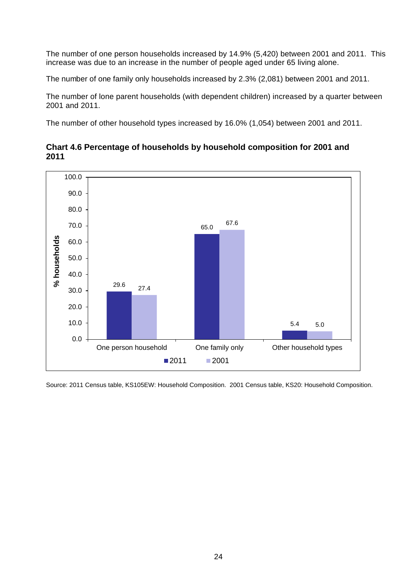The number of one person households increased by 14.9% (5,420) between 2001 and 2011. This increase was due to an increase in the number of people aged under 65 living alone.

The number of one family only households increased by 2.3% (2,081) between 2001 and 2011.

The number of lone parent households (with dependent children) increased by a quarter between 2001 and 2011.

The number of other household types increased by 16.0% (1,054) between 2001 and 2011.



# **Chart 4.6 Percentage of households by household composition for 2001 and 2011**

Source: 2011 Census table, KS105EW: Household Composition. 2001 Census table, KS20: Household Composition.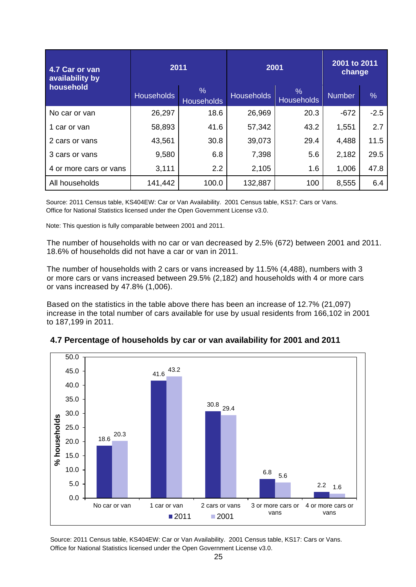| 4.7 Car or van<br>availability by<br>household | 2011              |                                    | 2001              |                           | 2001 to 2011<br>change |               |  |
|------------------------------------------------|-------------------|------------------------------------|-------------------|---------------------------|------------------------|---------------|--|
|                                                | <b>Households</b> | $\frac{9}{6}$<br><b>Households</b> | <b>Households</b> | $\%$<br><b>Households</b> | <b>Number</b>          | $\frac{0}{0}$ |  |
| No car or van                                  | 26,297            | 18.6                               | 26,969            | 20.3                      | $-672$                 | $-2.5$        |  |
| 1 car or van                                   | 58,893            | 41.6                               | 57,342            | 43.2                      | 1,551                  | 2.7           |  |
| 2 cars or vans                                 | 43,561            | 30.8                               | 39,073            | 29.4                      | 4,488                  | 11.5          |  |
| 3 cars or vans                                 | 9,580             | 6.8                                | 7,398             | 5.6                       | 2,182                  | 29.5          |  |
| 4 or more cars or vans                         | 3,111             | 2.2                                | 2,105             | 1.6                       | 1,006                  | 47.8          |  |
| All households                                 | 141,442           | 100.0                              | 132,887           | 100                       | 8,555                  | 6.4           |  |

Source: 2011 Census table, KS404EW: Car or Van Availability. 2001 Census table, KS17: Cars or Vans. Office for National Statistics licensed under the Open Government License v3.0.

Note: This question is fully comparable between 2001 and 2011.

The number of households with no car or van decreased by 2.5% (672) between 2001 and 2011. 18.6% of households did not have a car or van in 2011.

The number of households with 2 cars or vans increased by 11.5% (4,488), numbers with 3 or more cars or vans increased between 29.5% (2,182) and households with 4 or more cars or vans increased by 47.8% (1,006).

Based on the statistics in the table above there has been an increase of 12.7% (21,097) increase in the total number of cars available for use by usual residents from 166,102 in 2001 to 187,199 in 2011.



# **4.7 Percentage of households by car or van availability for 2001 and 2011**

Source: 2011 Census table, KS404EW: Car or Van Availability. 2001 Census table, KS17: Cars or Vans. Office for National Statistics licensed under the Open Government License v3.0.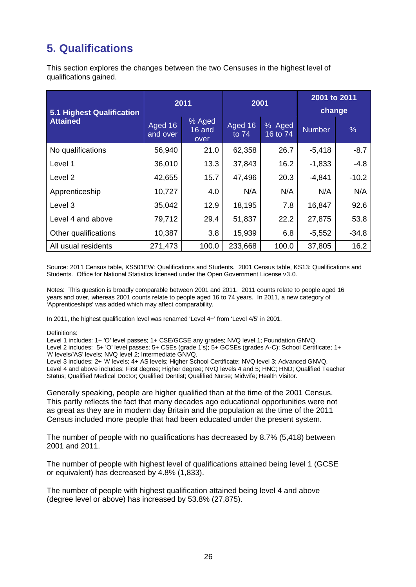# **5. Qualifications**

This section explores the changes between the two Censuses in the highest level of qualifications gained.

| 5.1 Highest Qualification |                     | 2011                     | 2001               |                    | 2001 to 2011<br>change |         |  |
|---------------------------|---------------------|--------------------------|--------------------|--------------------|------------------------|---------|--|
| <b>Attained</b>           | Aged 16<br>and over | % Aged<br>16 and<br>over | Aged 16<br>to $74$ | % Aged<br>16 to 74 | <b>Number</b>          | $\%$    |  |
| No qualifications         | 56,940              | 21.0                     | 62,358             | 26.7               | $-5,418$               | $-8.7$  |  |
| Level 1                   | 36,010              | 13.3                     | 37,843             | 16.2               | $-1,833$               | $-4.8$  |  |
| Level 2                   | 42,655              | 15.7                     | 47,496             | 20.3               | $-4,841$               | $-10.2$ |  |
| Apprenticeship            | 10,727              | 4.0                      | N/A                | N/A                | N/A                    | N/A     |  |
| Level 3                   | 35,042              | 12.9                     | 18,195             | 7.8                | 16,847                 | 92.6    |  |
| Level 4 and above         | 79,712              | 29.4                     | 51,837             | 22.2               | 27,875                 | 53.8    |  |
| Other qualifications      | 10,387              | 3.8                      | 15,939             | 6.8                | $-5,552$               | $-34.8$ |  |
| All usual residents       | 271,473             | 100.0                    | 233,668            | 100.0              | 37,805                 | 16.2    |  |

Source: 2011 Census table, KS501EW: Qualifications and Students. 2001 Census table, KS13: Qualifications and Students. Office for National Statistics licensed under the Open Government License v3.0.

Notes: This question is broadly comparable between 2001 and 2011. 2011 counts relate to people aged 16 years and over, whereas 2001 counts relate to people aged 16 to 74 years. In 2011, a new category of 'Apprenticeships' was added which may affect comparability.

In 2011, the highest qualification level was renamed 'Level 4+' from 'Level 4/5' in 2001.

#### Definitions:

Level 1 includes: 1+ 'O' level passes; 1+ CSE/GCSE any grades; NVQ level 1; Foundation GNVQ. Level 2 includes: 5+ 'O' level passes; 5+ CSEs (grade 1's); 5+ GCSEs (grades A-C); School Certificate; 1+ 'A' levels/'AS' levels; NVQ level 2; Intermediate GNVQ.

Level 3 includes: 2+ 'A' levels; 4+ AS levels; Higher School Certificate; NVQ level 3; Advanced GNVQ. Level 4 and above includes: First degree; Higher degree; NVQ levels 4 and 5; HNC; HND; Qualified Teacher Status; Qualified Medical Doctor; Qualified Dentist; Qualified Nurse; Midwife; Health Visitor.

Generally speaking, people are higher qualified than at the time of the 2001 Census. This partly reflects the fact that many decades ago educational opportunities were not as great as they are in modern day Britain and the population at the time of the 2011 Census included more people that had been educated under the present system.

The number of people with no qualifications has decreased by 8.7% (5,418) between 2001 and 2011.

The number of people with highest level of qualifications attained being level 1 (GCSE or equivalent) has decreased by 4.8% (1,833).

The number of people with highest qualification attained being level 4 and above (degree level or above) has increased by 53.8% (27,875).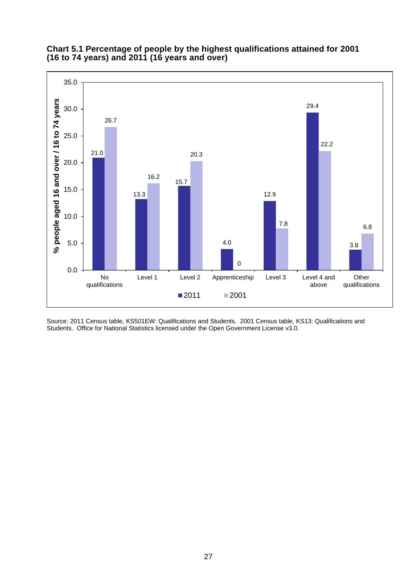

## **Chart 5.1 Percentage of people by the highest qualifications attained for 2001 (16 to 74 years) and 2011 (16 years and over)**

Source: 2011 Census table, KS501EW: Qualifications and Students. 2001 Census table, KS13: Qualifications and Students. Office for National Statistics licensed under the Open Government License v3.0.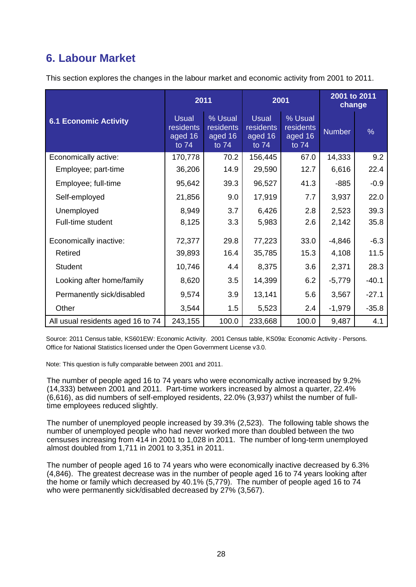# **6. Labour Market**

This section explores the changes in the labour market and economic activity from 2001 to 2011.

|                                   |                                               | 2011                                     | 2001                                          |                                          | 2001 to 2011<br>change |               |  |
|-----------------------------------|-----------------------------------------------|------------------------------------------|-----------------------------------------------|------------------------------------------|------------------------|---------------|--|
| <b>6.1 Economic Activity</b>      | <b>Usual</b><br>residents<br>aged 16<br>to 74 | % Usual<br>residents<br>aged 16<br>to 74 | <b>Usual</b><br>residents<br>aged 16<br>to 74 | % Usual<br>residents<br>aged 16<br>to 74 | <b>Number</b>          | $\frac{0}{6}$ |  |
| Economically active:              | 170,778                                       | 70.2                                     | 156,445                                       | 67.0                                     | 14,333                 | 9.2           |  |
| Employee; part-time               | 36,206                                        | 14.9                                     | 29,590                                        | 12.7                                     | 6,616                  | 22.4          |  |
| Employee; full-time               | 95,642                                        | 39.3                                     | 96,527                                        | 41.3                                     | $-885$                 | $-0.9$        |  |
| Self-employed                     | 21,856                                        | 9.0                                      | 17,919                                        | 7.7                                      | 3,937                  | 22.0          |  |
| Unemployed                        | 8,949                                         | 3.7                                      | 6,426                                         | 2.8                                      | 2,523                  | 39.3          |  |
| Full-time student                 | 8,125                                         | 3.3                                      | 5,983                                         | 2.6                                      | 2,142                  | 35.8          |  |
| Economically inactive:            | 72,377                                        | 29.8                                     | 77,223                                        | 33.0                                     | $-4,846$               | $-6.3$        |  |
| Retired                           | 39,893                                        | 16.4                                     | 35,785                                        | 15.3                                     | 4,108                  | 11.5          |  |
| <b>Student</b>                    | 10,746                                        | 4.4                                      | 8,375                                         | 3.6                                      | 2,371                  | 28.3          |  |
| Looking after home/family         | 8,620                                         | 3.5                                      | 14,399                                        | 6.2                                      | $-5,779$               | $-40.1$       |  |
| Permanently sick/disabled         | 9,574                                         | 3.9                                      | 13,141                                        | 5.6                                      | 3,567                  | $-27.1$       |  |
| Other                             | 3,544                                         | 1.5                                      | 5,523                                         | 2.4                                      | $-1,979$               | $-35.8$       |  |
| All usual residents aged 16 to 74 | 243,155                                       | 100.0                                    | 233,668                                       | 100.0                                    | 9,487                  | 4.1           |  |

Source: 2011 Census table, KS601EW: Economic Activity. 2001 Census table, KS09a: Economic Activity - Persons. Office for National Statistics licensed under the Open Government License v3.0.

Note: This question is fully comparable between 2001 and 2011.

The number of people aged 16 to 74 years who were economically active increased by 9.2% (14,333) between 2001 and 2011. Part-time workers increased by almost a quarter, 22.4% (6,616), as did numbers of self-employed residents, 22.0% (3,937) whilst the number of fulltime employees reduced slightly.

The number of unemployed people increased by 39.3% (2,523). The following table shows the number of unemployed people who had never worked more than doubled between the two censuses increasing from 414 in 2001 to 1,028 in 2011. The number of long-term unemployed almost doubled from 1,711 in 2001 to 3,351 in 2011.

The number of people aged 16 to 74 years who were economically inactive decreased by 6.3% (4,846). The greatest decrease was in the number of people aged 16 to 74 years looking after the home or family which decreased by 40.1% (5,779). The number of people aged 16 to 74 who were permanently sick/disabled decreased by 27% (3,567).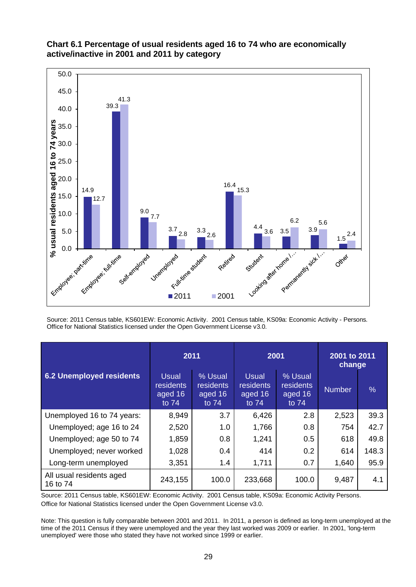

# **Chart 6.1 Percentage of usual residents aged 16 to 74 who are economically active/inactive in 2001 and 2011 by category**

Source: 2011 Census table, KS601EW: Economic Activity. 2001 Census table, KS09a: Economic Activity - Persons. Office for National Statistics licensed under the Open Government License v3.0.

|                                      | 2011                                            |                                                   | 2001                                            |                                                    | 2001 to 2011<br>change |       |  |
|--------------------------------------|-------------------------------------------------|---------------------------------------------------|-------------------------------------------------|----------------------------------------------------|------------------------|-------|--|
| 6.2 Unemployed residents             | <b>Usual</b><br>residents<br>aged 16<br>to $74$ | % Usual<br><b>residents</b><br>aged 16<br>to $74$ | <b>Usual</b><br>residents<br>aged 16<br>to $74$ | % Usual<br><b>residents</b><br>aged 16<br>to $74'$ | <b>Number</b>          | $\%$  |  |
| Unemployed 16 to 74 years:           | 8,949                                           | 3.7                                               | 6,426                                           | 2.8                                                | 2,523                  | 39.3  |  |
| Unemployed; age 16 to 24             | 2,520                                           | 1.0                                               | 1,766                                           | 0.8                                                | 754                    | 42.7  |  |
| Unemployed; age 50 to 74             | 1,859                                           | 0.8                                               | 1,241                                           | 0.5                                                | 618                    | 49.8  |  |
| Unemployed; never worked             | 1,028                                           | 0.4                                               | 414                                             | 0.2                                                | 614                    | 148.3 |  |
| Long-term unemployed                 | 3,351                                           | 1.4                                               | 1,711                                           | 0.7                                                | 1,640                  | 95.9  |  |
| All usual residents aged<br>16 to 74 | 243,155                                         | 100.0                                             | 233,668                                         | 100.0                                              | 9,487                  | 4.1   |  |

Source: 2011 Census table, KS601EW: Economic Activity. 2001 Census table, KS09a: Economic Activity Persons. Office for National Statistics licensed under the Open Government License v3.0.

Note: This question is fully comparable between 2001 and 2011. In 2011, a person is defined as long-term unemployed at the time of the 2011 Census if they were unemployed and the year they last worked was 2009 or earlier. In 2001, 'long-term unemployed' were those who stated they have not worked since 1999 or earlier.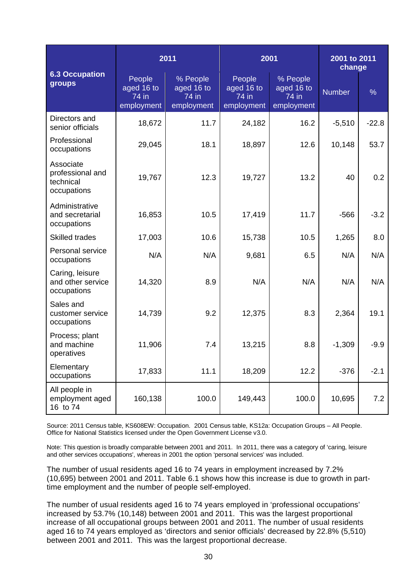|                                                           |                                             | 2011                                          | 2001                                        |                                               | 2001 to 2011<br>change |               |  |
|-----------------------------------------------------------|---------------------------------------------|-----------------------------------------------|---------------------------------------------|-----------------------------------------------|------------------------|---------------|--|
| <b>6.3 Occupation</b><br>groups                           | People<br>aged 16 to<br>74 in<br>employment | % People<br>aged 16 to<br>74 in<br>employment | People<br>aged 16 to<br>74 in<br>employment | % People<br>aged 16 to<br>74 in<br>employment | <b>Number</b>          | $\frac{9}{6}$ |  |
| Directors and<br>senior officials                         | 18,672                                      | 11.7                                          | 24,182                                      | 16.2                                          | $-5,510$               | $-22.8$       |  |
| Professional<br>occupations                               | 29,045                                      | 18.1                                          | 18,897                                      | 12.6                                          | 10,148                 | 53.7          |  |
| Associate<br>professional and<br>technical<br>occupations | 19,767                                      | 12.3                                          | 19,727                                      | 13.2                                          | 40                     | 0.2           |  |
| Administrative<br>and secretarial<br>occupations          | 16,853                                      | 10.5                                          | 17,419                                      | 11.7                                          | $-566$                 | $-3.2$        |  |
| <b>Skilled trades</b>                                     | 17,003                                      | 10.6                                          | 15,738                                      | 10.5                                          | 1,265                  | 8.0           |  |
| Personal service<br>occupations                           | N/A                                         | N/A                                           | 9,681                                       | 6.5                                           | N/A                    | N/A           |  |
| Caring, leisure<br>and other service<br>occupations       | 14,320                                      | 8.9                                           | N/A                                         | N/A                                           | N/A                    | N/A           |  |
| Sales and<br>customer service<br>occupations              | 14,739                                      | 9.2                                           | 12,375                                      | 8.3                                           | 2,364                  | 19.1          |  |
| Process; plant<br>and machine<br>operatives               | 11,906                                      | 7.4                                           | 13,215                                      | 8.8                                           | $-1,309$               | $-9.9$        |  |
| Elementary<br>occupations                                 | 17,833                                      | 11.1                                          | 18,209                                      | 12.2                                          | $-376$                 | $-2.1$        |  |
| All people in<br>employment aged<br>16 to 74              | 160,138                                     | 100.0                                         | 149,443                                     | 100.0                                         | 10,695                 | 7.2           |  |

Source: 2011 Census table, KS608EW: Occupation. 2001 Census table, KS12a: Occupation Groups – All People. Office for National Statistics licensed under the Open Government License v3.0.

Note: This question is broadly comparable between 2001 and 2011. In 2011, there was a category of 'caring, leisure and other services occupations', whereas in 2001 the option 'personal services' was included.

The number of usual residents aged 16 to 74 years in employment increased by 7.2% (10,695) between 2001 and 2011. Table 6.1 shows how this increase is due to growth in parttime employment and the number of people self-employed.

The number of usual residents aged 16 to 74 years employed in 'professional occupations' increased by 53.7% (10,148) between 2001 and 2011. This was the largest proportional increase of all occupational groups between 2001 and 2011. The number of usual residents aged 16 to 74 years employed as 'directors and senior officials' decreased by 22.8% (5,510) between 2001 and 2011. This was the largest proportional decrease.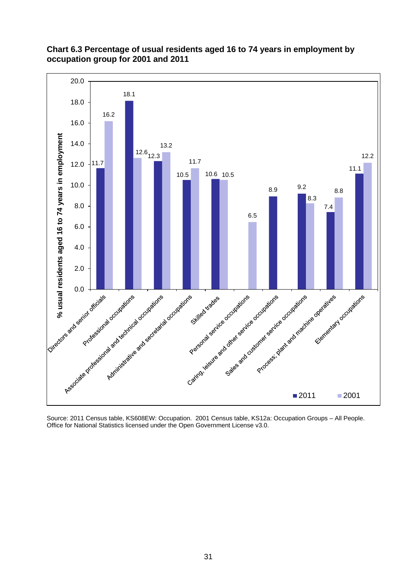

# **Chart 6.3 Percentage of usual residents aged 16 to 74 years in employment by occupation group for 2001 and 2011**

Source: 2011 Census table, KS608EW: Occupation. 2001 Census table, KS12a: Occupation Groups – All People. Office for National Statistics licensed under the Open Government License v3.0.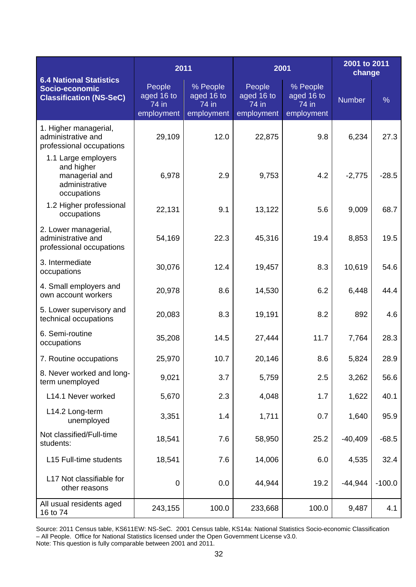| <b>6.4 National Statistics</b><br>Socio-economic<br><b>Classification (NS-SeC)</b>   | 2011                                        |                                                 | 2001                                        |                                               | 2001 to 2011<br>change |               |
|--------------------------------------------------------------------------------------|---------------------------------------------|-------------------------------------------------|---------------------------------------------|-----------------------------------------------|------------------------|---------------|
|                                                                                      | People<br>aged 16 to<br>74 in<br>employment | $%$ People<br>aged 16 to<br>74 in<br>employment | People<br>aged 16 to<br>74 in<br>employment | % People<br>aged 16 to<br>74 in<br>employment | <b>Number</b>          | $\frac{0}{0}$ |
| 1. Higher managerial,<br>administrative and<br>professional occupations              | 29,109                                      | 12.0                                            | 22,875                                      | 9.8                                           | 6,234                  | 27.3          |
| 1.1 Large employers<br>and higher<br>managerial and<br>administrative<br>occupations | 6,978                                       | 2.9                                             | 9,753                                       | 4.2                                           | $-2,775$               | $-28.5$       |
| 1.2 Higher professional<br>occupations                                               | 22,131                                      | 9.1                                             | 13,122                                      | 5.6                                           | 9,009                  | 68.7          |
| 2. Lower managerial,<br>administrative and<br>professional occupations               | 54,169                                      | 22.3                                            | 45,316                                      | 19.4                                          | 8,853                  | 19.5          |
| 3. Intermediate<br>occupations                                                       | 30,076                                      | 12.4                                            | 19,457                                      | 8.3                                           | 10,619                 | 54.6          |
| 4. Small employers and<br>own account workers                                        | 20,978                                      | 8.6                                             | 14,530                                      | 6.2                                           | 6,448                  | 44.4          |
| 5. Lower supervisory and<br>technical occupations                                    | 20,083                                      | 8.3                                             | 19,191                                      | 8.2                                           | 892                    | 4.6           |
| 6. Semi-routine<br>occupations                                                       | 35,208                                      | 14.5                                            | 27,444                                      | 11.7                                          | 7,764                  | 28.3          |
| 7. Routine occupations                                                               | 25,970                                      | 10.7                                            | 20,146                                      | 8.6                                           | 5,824                  | 28.9          |
| 8. Never worked and long-<br>term unemployed                                         | 9,021                                       | 3.7                                             | 5,759                                       | 2.5                                           | 3,262                  | 56.6          |
| L14.1 Never worked                                                                   | 5,670                                       | 2.3                                             | 4,048                                       | 1.7                                           | 1,622                  | 40.1          |
| L14.2 Long-term<br>unemployed                                                        | 3,351                                       | 1.4                                             | 1,711                                       | 0.7                                           | 1,640                  | 95.9          |
| Not classified/Full-time<br>students:                                                | 18,541                                      | 7.6                                             | 58,950                                      | 25.2                                          | $-40,409$              | $-68.5$       |
| L15 Full-time students                                                               | 18,541                                      | 7.6                                             | 14,006                                      | 6.0                                           | 4,535                  | 32.4          |
| L17 Not classifiable for<br>other reasons                                            | $\mathbf 0$                                 | 0.0                                             | 44,944                                      | 19.2                                          | $-44,944$              | $-100.0$      |
| All usual residents aged<br>16 to 74                                                 | 243,155                                     | 100.0                                           | 233,668                                     | 100.0                                         | 9,487                  | 4.1           |

Source: 2011 Census table, KS611EW: NS-SeC. 2001 Census table, KS14a: National Statistics Socio-economic Classification – All People. Office for National Statistics licensed under the Open Government License v3.0. Note: This question is fully comparable between 2001 and 2011.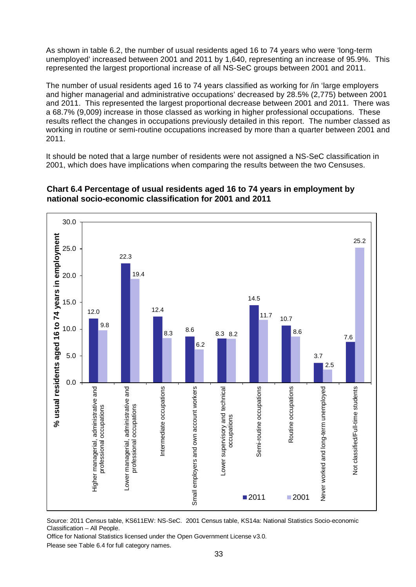As shown in table 6.2, the number of usual residents aged 16 to 74 years who were 'long-term unemployed' increased between 2001 and 2011 by 1,640, representing an increase of 95.9%. This represented the largest proportional increase of all NS-SeC groups between 2001 and 2011.

The number of usual residents aged 16 to 74 years classified as working for /in 'large employers and higher managerial and administrative occupations' decreased by 28.5% (2,775) between 2001 and 2011. This represented the largest proportional decrease between 2001 and 2011. There was a 68.7% (9,009) increase in those classed as working in higher professional occupations. These results reflect the changes in occupations previously detailed in this report. The number classed as working in routine or semi-routine occupations increased by more than a quarter between 2001 and 2011.

It should be noted that a large number of residents were not assigned a NS-SeC classification in 2001, which does have implications when comparing the results between the two Censuses.



# **Chart 6.4 Percentage of usual residents aged 16 to 74 years in employment by national socio-economic classification for 2001 and 2011**

Source: 2011 Census table, KS611EW: NS-SeC. 2001 Census table, KS14a: National Statistics Socio-economic Classification – All People.

Office for National Statistics licensed under the Open Government License v3.0. Please see Table 6.4 for full category names.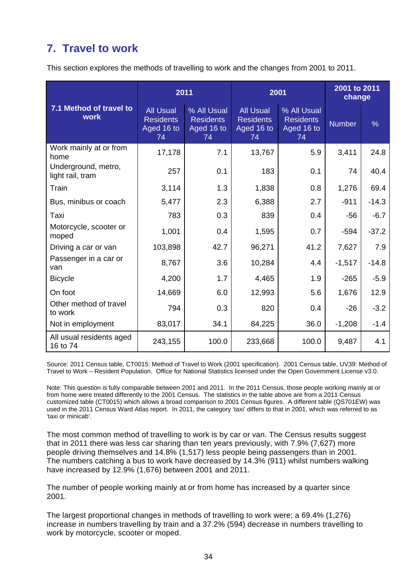# **7. Travel to work**

This section explores the methods of travelling to work and the changes from 2001 to 2011.

|                                         | 2011                                                     |                                                     | 2001                                                     |                                                     | 2001 to 2011<br>change |               |
|-----------------------------------------|----------------------------------------------------------|-----------------------------------------------------|----------------------------------------------------------|-----------------------------------------------------|------------------------|---------------|
| 7.1 Method of travel to<br><b>work</b>  | <b>All Usual</b><br><b>Residents</b><br>Aged 16 to<br>74 | % All Usual<br><b>Residents</b><br>Aged 16 to<br>74 | <b>All Usual</b><br><b>Residents</b><br>Aged 16 to<br>74 | % All Usual<br><b>Residents</b><br>Aged 16 to<br>74 | <b>Number</b>          | $\frac{0}{6}$ |
| Work mainly at or from<br>home          | 17,178                                                   | 7.1                                                 | 13,767                                                   | 5.9                                                 | 3,411                  | 24.8          |
| Underground, metro,<br>light rail, tram | 257                                                      | 0.1                                                 | 183                                                      | 0.1                                                 | 74                     | 40.4          |
| Train                                   | 3,114                                                    | 1.3                                                 | 1,838                                                    | 0.8                                                 | 1,276                  | 69.4          |
| Bus, minibus or coach                   | 5,477                                                    | 2.3                                                 | 6,388                                                    | 2.7                                                 | $-911$                 | $-14.3$       |
| Taxi                                    | 783                                                      | 0.3                                                 | 839                                                      | 0.4                                                 | $-56$                  | $-6.7$        |
| Motorcycle, scooter or<br>moped         | 1,001                                                    | 0.4                                                 | 1,595                                                    | 0.7                                                 | $-594$                 | $-37.2$       |
| Driving a car or van                    | 103,898                                                  | 42.7                                                | 96,271                                                   | 41.2                                                | 7,627                  | 7.9           |
| Passenger in a car or<br>van            | 8,767                                                    | 3.6                                                 | 10,284                                                   | 4.4                                                 | $-1,517$               | $-14.8$       |
| <b>Bicycle</b>                          | 4,200                                                    | 1.7                                                 | 4,465                                                    | 1.9                                                 | $-265$                 | $-5.9$        |
| On foot                                 | 14,669                                                   | 6.0                                                 | 12,993                                                   | 5.6                                                 | 1,676                  | 12.9          |
| Other method of travel<br>to work       | 794                                                      | 0.3                                                 | 820                                                      | 0.4                                                 | $-26$                  | $-3.2$        |
| Not in employment                       | 83,017                                                   | 34.1                                                | 84,225                                                   | 36.0                                                | $-1,208$               | $-1.4$        |
| All usual residents aged<br>16 to 74    | 243,155                                                  | 100.0                                               | 233,668                                                  | 100.0                                               | 9,487                  | 4.1           |

Source: 2011 Census table, CT0015: Method of Travel to Work (2001 specification). 2001 Census table, UV39: Method of Travel to Work – Resident Population. Office for National Statistics licensed under the Open Government License v3.0.

Note: This question is fully comparable between 2001 and 2011. In the 2011 Census, those people working mainly at or from home were treated differently to the 2001 Census. The statistics in the table above are from a 2011 Census customized table (CT0015) which allows a broad comparison to 2001 Census figures. A different table (QS701EW) was used in the 2011 Census Ward Atlas report. In 2011, the category 'taxi' differs to that in 2001, which was referred to as 'taxi or minicab'.

The most common method of travelling to work is by car or van. The Census results suggest that in 2011 there was less car sharing than ten years previously, with 7.9% (7,627) more people driving themselves and 14.8% (1,517) less people being passengers than in 2001. The numbers catching a bus to work have decreased by 14.3% (911) whilst numbers walking have increased by 12.9% (1,676) between 2001 and 2011.

The number of people working mainly at or from home has increased by a quarter since 2001.

The largest proportional changes in methods of travelling to work were; a 69.4% (1,276) increase in numbers travelling by train and a 37.2% (594) decrease in numbers travelling to work by motorcycle, scooter or moped.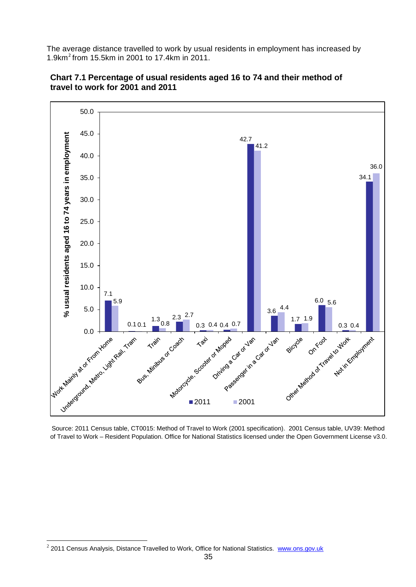The average distance travelled to work by usual residents in employment has increased by 1.9km[2](#page-4-0) from 15.5km in 2001 to 17.4km in 2011.





Source: 2011 Census table, CT0015: Method of Travel to Work (2001 specification). 2001 Census table, UV39: Method of Travel to Work – Resident Population. Office for National Statistics licensed under the Open Government License v3.0.

l

<sup>&</sup>lt;sup>2</sup> 2011 Census Analysis, Distance Travelled to Work, Office for National Statistics. [www.ons.gov.uk](http://www.ons.gov.uk/)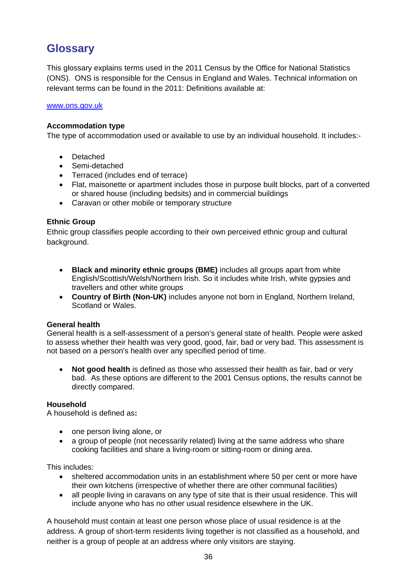# **Glossary**

This glossary explains terms used in the 2011 Census by the Office for National Statistics (ONS). ONS is responsible for the Census in England and Wales. Technical information on relevant terms can be found in the 2011: Definitions available at:

#### [www.ons.gov.uk](http://www.ons.gov.uk/)

## **Accommodation type**

The type of accommodation used or available to use by an individual household. It includes:-

- **Detached**
- Semi-detached
- Terraced (includes end of terrace)
- Flat, maisonette or apartment includes those in purpose built blocks, part of a converted or shared house (including bedsits) and in commercial buildings
- Caravan or other mobile or temporary structure

## **Ethnic Group**

Ethnic group classifies people according to their own perceived ethnic group and cultural background.

- **Black and minority ethnic groups (BME)** includes all groups apart from white English/Scottish/Welsh/Northern Irish. So it includes white Irish, white gypsies and travellers and other white groups
- **Country of Birth (Non-UK)** includes anyone not born in England, Northern Ireland, Scotland or Wales.

# **General health**

General health is a self-assessment of a person's general state of health. People were asked to assess whether their health was very good, good, fair, bad or very bad. This assessment is not based on a person's health over any specified period of time.

• **Not good health** is defined as those who assessed their health as fair, bad or very bad. As these options are different to the 2001 Census options, the results cannot be directly compared.

#### **Household**

A household is defined as**:**

- one person living alone, or
- a group of people (not necessarily related) living at the same address who share cooking facilities and share a living-room or sitting-room or dining area.

This includes:

- sheltered accommodation units in an establishment where 50 per cent or more have their own kitchens (irrespective of whether there are other communal facilities)
- all people living in caravans on any type of site that is their usual residence. This will include anyone who has no other usual residence elsewhere in the UK.

A household must contain at least one person whose place of usual residence is at the address. A group of short-term residents living together is not classified as a household, and neither is a group of people at an address where only visitors are staying.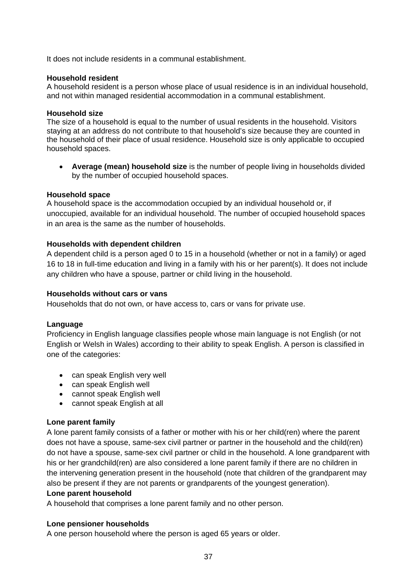It does not include residents in a communal establishment.

#### **Household resident**

A household resident is a person whose place of usual residence is in an individual household, and not within managed residential accommodation in a communal establishment.

#### **Household size**

The size of a household is equal to the number of usual residents in the household. Visitors staying at an address do not contribute to that household's size because they are counted in the household of their place of usual residence. Household size is only applicable to occupied household spaces.

• **Average (mean) household size** is the number of people living in households divided by the number of occupied household spaces.

#### **Household space**

A household space is the accommodation occupied by an individual household or, if unoccupied, available for an individual household. The number of occupied household spaces in an area is the same as the number of households.

#### **Households with dependent children**

A dependent child is a person aged 0 to 15 in a household (whether or not in a family) or aged 16 to 18 in full-time education and living in a family with his or her parent(s). It does not include any children who have a spouse, partner or child living in the household.

#### **Households without cars or vans**

Households that do not own, or have access to, cars or vans for private use.

#### **Language**

Proficiency in English language classifies people whose main language is not English (or not English or Welsh in Wales) according to their ability to speak English. A person is classified in one of the categories:

- can speak English very well
- can speak English well
- cannot speak English well
- cannot speak English at all

#### **Lone parent family**

A lone parent family consists of a father or mother with his or her child(ren) where the parent does not have a spouse, same-sex civil partner or partner in the household and the child(ren) do not have a spouse, same-sex civil partner or child in the household. A lone grandparent with his or her grandchild(ren) are also considered a lone parent family if there are no children in the intervening generation present in the household (note that children of the grandparent may also be present if they are not parents or grandparents of the youngest generation).

#### **Lone parent household**

A household that comprises a lone parent family and no other person.

# **Lone pensioner households**

A one person household where the person is aged 65 years or older.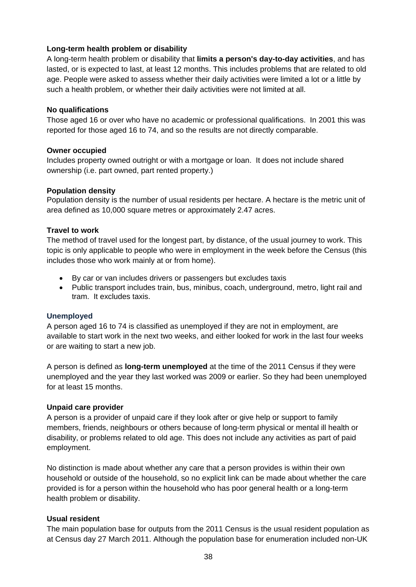## **Long-term health problem or disability**

A long-term health problem or disability that **limits a person's day-to-day activities**, and has lasted, or is expected to last, at least 12 months. This includes problems that are related to old age. People were asked to assess whether their daily activities were limited a lot or a little by such a health problem, or whether their daily activities were not limited at all.

#### **No qualifications**

Those aged 16 or over who have no academic or professional qualifications. In 2001 this was reported for those aged 16 to 74, and so the results are not directly comparable.

#### **Owner occupied**

Includes property owned outright or with a mortgage or loan. It does not include shared ownership (i.e. part owned, part rented property.)

#### **Population density**

Population density is the number of usual residents per hectare. A hectare is the metric unit of area defined as 10,000 square metres or approximately 2.47 acres.

#### **Travel to work**

The method of travel used for the longest part, by distance, of the usual journey to work. This topic is only applicable to people who were in employment in the week before the Census (this includes those who work mainly at or from home).

- By car or van includes drivers or passengers but excludes taxis
- Public transport includes train, bus, minibus, coach, underground, metro, light rail and tram. It excludes taxis.

#### **Unemployed**

A person aged 16 to 74 is classified as unemployed if they are not in employment, are available to start work in the next two weeks, and either looked for work in the last four weeks or are waiting to start a new job.

A person is defined as **long-term unemployed** at the time of the 2011 Census if they were unemployed and the year they last worked was 2009 or earlier. So they had been unemployed for at least 15 months.

#### **Unpaid care provider**

A person is a provider of unpaid care if they look after or give help or support to family members, friends, neighbours or others because of long-term physical or mental ill health or disability, or problems related to old age. This does not include any activities as part of paid employment.

No distinction is made about whether any care that a person provides is within their own household or outside of the household, so no explicit link can be made about whether the care provided is for a person within the household who has poor general health or a long-term health problem or disability.

#### **Usual resident**

The main population base for outputs from the 2011 Census is the usual resident population as at Census day 27 March 2011. Although the population base for enumeration included non-UK